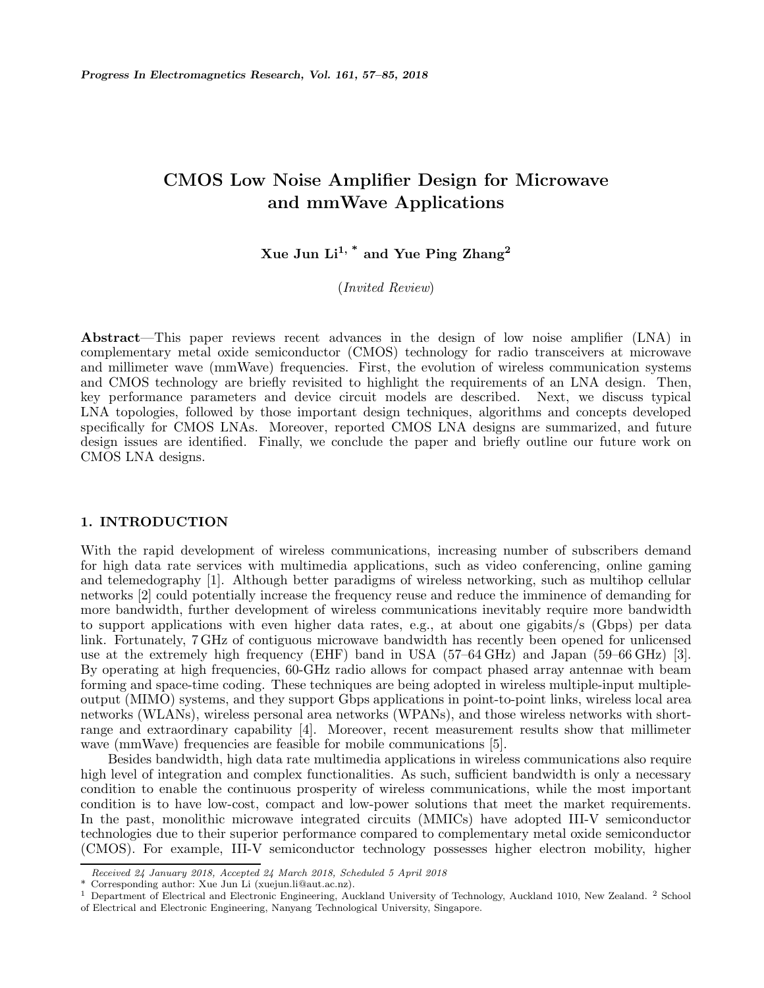# **CMOS Low Noise Amplifier Design for Microwave and mmWave Applications**

**Xue Jun Li1, \* and Yue Ping Zhang<sup>2</sup>**

(*Invited Review*)

**Abstract**—This paper reviews recent advances in the design of low noise amplifier (LNA) in complementary metal oxide semiconductor (CMOS) technology for radio transceivers at microwave and millimeter wave (mmWave) frequencies. First, the evolution of wireless communication systems and CMOS technology are briefly revisited to highlight the requirements of an LNA design. Then, key performance parameters and device circuit models are described. Next, we discuss typical LNA topologies, followed by those important design techniques, algorithms and concepts developed specifically for CMOS LNAs. Moreover, reported CMOS LNA designs are summarized, and future design issues are identified. Finally, we conclude the paper and briefly outline our future work on CMOS LNA designs.

# **1. INTRODUCTION**

With the rapid development of wireless communications, increasing number of subscribers demand for high data rate services with multimedia applications, such as video conferencing, online gaming and telemedography [1]. Although better paradigms of wireless networking, such as multihop cellular networks [2] could potentially increase the frequency reuse and reduce the imminence of demanding for more bandwidth, further development of wireless communications inevitably require more bandwidth to support applications with even higher data rates, e.g., at about one gigabits/s (Gbps) per data link. Fortunately, 7 GHz of contiguous microwave bandwidth has recently been opened for unlicensed use at the extremely high frequency (EHF) band in USA (57–64 GHz) and Japan (59–66 GHz) [3]. By operating at high frequencies, 60-GHz radio allows for compact phased array antennae with beam forming and space-time coding. These techniques are being adopted in wireless multiple-input multipleoutput (MIMO) systems, and they support Gbps applications in point-to-point links, wireless local area networks (WLANs), wireless personal area networks (WPANs), and those wireless networks with shortrange and extraordinary capability [4]. Moreover, recent measurement results show that millimeter wave (mmWave) frequencies are feasible for mobile communications [5].

Besides bandwidth, high data rate multimedia applications in wireless communications also require high level of integration and complex functionalities. As such, sufficient bandwidth is only a necessary condition to enable the continuous prosperity of wireless communications, while the most important condition is to have low-cost, compact and low-power solutions that meet the market requirements. In the past, monolithic microwave integrated circuits (MMICs) have adopted III-V semiconductor technologies due to their superior performance compared to complementary metal oxide semiconductor (CMOS). For example, III-V semiconductor technology possesses higher electron mobility, higher

*Received 24 January 2018, Accepted 24 March 2018, Scheduled 5 April 2018*

Corresponding author: Xue Jun Li (xuejun.li@aut.ac.nz).

<sup>&</sup>lt;sup>1</sup> Department of Electrical and Electronic Engineering, Auckland University of Technology, Auckland 1010, New Zealand. <sup>2</sup> School of Electrical and Electronic Engineering, Nanyang Technological University, Singapore.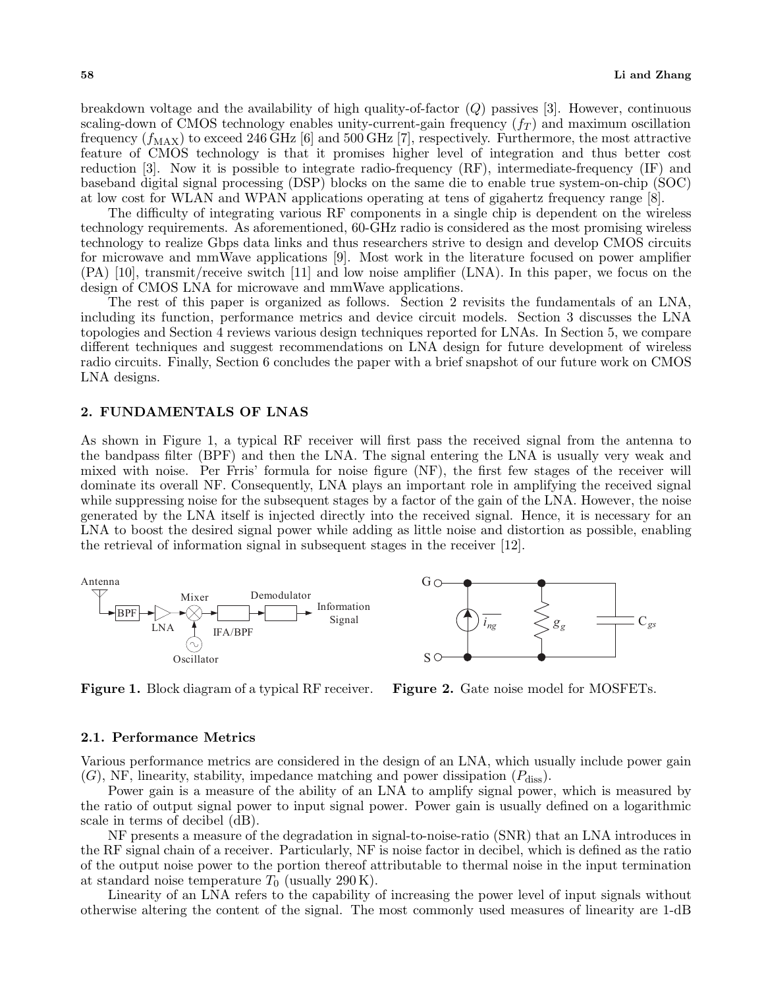breakdown voltage and the availability of high quality-of-factor  $(Q)$  passives [3]. However, continuous scaling-down of CMOS technology enables unity-current-gain frequency  $(f_T)$  and maximum oscillation frequency  $(f_{MAX})$  to exceed 246 GHz [6] and 500 GHz [7], respectively. Furthermore, the most attractive feature of CMOS technology is that it promises higher level of integration and thus better cost reduction [3]. Now it is possible to integrate radio-frequency (RF), intermediate-frequency (IF) and baseband digital signal processing (DSP) blocks on the same die to enable true system-on-chip (SOC) at low cost for WLAN and WPAN applications operating at tens of gigahertz frequency range [8].

The difficulty of integrating various RF components in a single chip is dependent on the wireless technology requirements. As aforementioned, 60-GHz radio is considered as the most promising wireless technology to realize Gbps data links and thus researchers strive to design and develop CMOS circuits for microwave and mmWave applications [9]. Most work in the literature focused on power amplifier (PA) [10], transmit/receive switch [11] and low noise amplifier (LNA). In this paper, we focus on the design of CMOS LNA for microwave and mmWave applications.

The rest of this paper is organized as follows. Section 2 revisits the fundamentals of an LNA, including its function, performance metrics and device circuit models. Section 3 discusses the LNA topologies and Section 4 reviews various design techniques reported for LNAs. In Section 5, we compare different techniques and suggest recommendations on LNA design for future development of wireless radio circuits. Finally, Section 6 concludes the paper with a brief snapshot of our future work on CMOS LNA designs.

# **2. FUNDAMENTALS OF LNAS**

As shown in Figure 1, a typical RF receiver will first pass the received signal from the antenna to the bandpass filter (BPF) and then the LNA. The signal entering the LNA is usually very weak and mixed with noise. Per Frris' formula for noise figure (NF), the first few stages of the receiver will dominate its overall NF. Consequently, LNA plays an important role in amplifying the received signal while suppressing noise for the subsequent stages by a factor of the gain of the LNA. However, the noise generated by the LNA itself is injected directly into the received signal. Hence, it is necessary for an LNA to boost the desired signal power while adding as little noise and distortion as possible, enabling the retrieval of information signal in subsequent stages in the receiver [12].



**Figure 1.** Block diagram of a typical RF receiver.



### **2.1. Performance Metrics**

Various performance metrics are considered in the design of an LNA, which usually include power gain  $(G)$ , NF, linearity, stability, impedance matching and power dissipation  $(P_{\text{diss}})$ .

Power gain is a measure of the ability of an LNA to amplify signal power, which is measured by the ratio of output signal power to input signal power. Power gain is usually defined on a logarithmic scale in terms of decibel (dB).

NF presents a measure of the degradation in signal-to-noise-ratio (SNR) that an LNA introduces in the RF signal chain of a receiver. Particularly, NF is noise factor in decibel, which is defined as the ratio of the output noise power to the portion thereof attributable to thermal noise in the input termination at standard noise temperature  $T_0$  (usually 290 K).

Linearity of an LNA refers to the capability of increasing the power level of input signals without otherwise altering the content of the signal. The most commonly used measures of linearity are 1-dB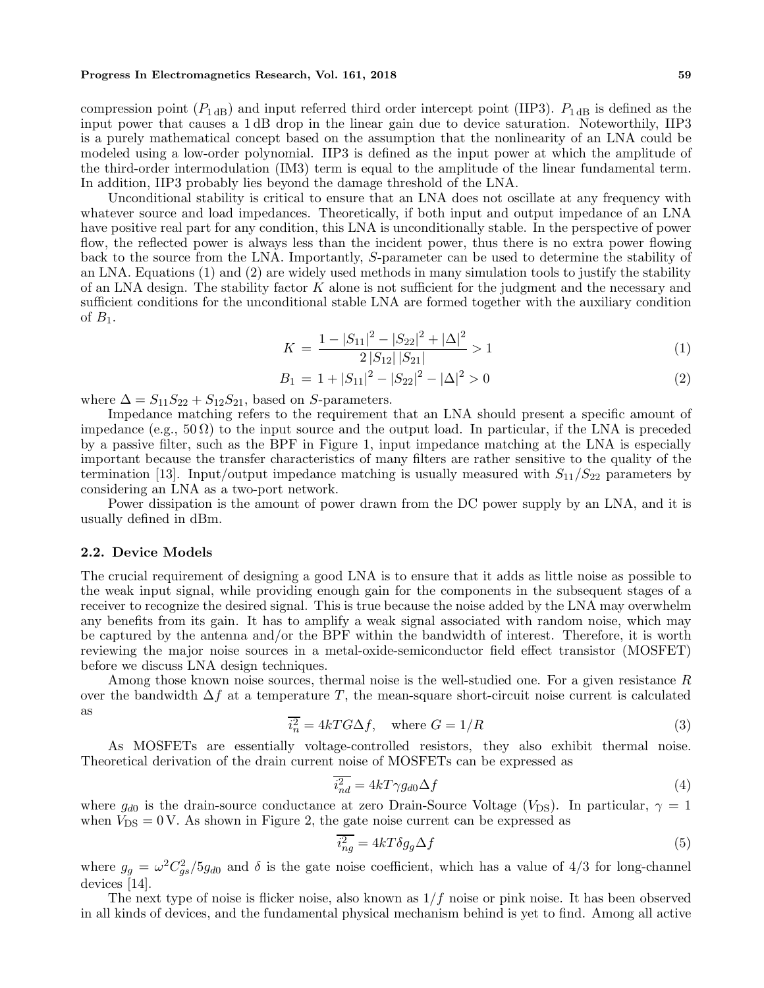compression point  $(P_{1 \text{ dB}})$  and input referred third order intercept point (IIP3).  $P_{1 \text{ dB}}$  is defined as the input power that causes a 1 dB drop in the linear gain due to device saturation. Noteworthily, IIP3 is a purely mathematical concept based on the assumption that the nonlinearity of an LNA could be modeled using a low-order polynomial. IIP3 is defined as the input power at which the amplitude of the third-order intermodulation (IM3) term is equal to the amplitude of the linear fundamental term. In addition, IIP3 probably lies beyond the damage threshold of the LNA.

Unconditional stability is critical to ensure that an LNA does not oscillate at any frequency with whatever source and load impedances. Theoretically, if both input and output impedance of an LNA have positive real part for any condition, this LNA is unconditionally stable. In the perspective of power flow, the reflected power is always less than the incident power, thus there is no extra power flowing back to the source from the LNA. Importantly, S-parameter can be used to determine the stability of an LNA. Equations (1) and (2) are widely used methods in many simulation tools to justify the stability of an LNA design. The stability factor  $K$  alone is not sufficient for the judgment and the necessary and sufficient conditions for the unconditional stable LNA are formed together with the auxiliary condition of  $B_1$ .

$$
K = \frac{1 - |S_{11}|^2 - |S_{22}|^2 + |\Delta|^2}{2|S_{12}| |S_{21}|} > 1
$$
\n(1)

$$
B_1 = 1 + |S_{11}|^2 - |S_{22}|^2 - |\Delta|^2 > 0 \tag{2}
$$

where  $\Delta = S_{11}S_{22} + S_{12}S_{21}$ , based on S-parameters.

Impedance matching refers to the requirement that an LNA should present a specific amount of impedance (e.g.,  $50 \Omega$ ) to the input source and the output load. In particular, if the LNA is preceded by a passive filter, such as the BPF in Figure 1, input impedance matching at the LNA is especially important because the transfer characteristics of many filters are rather sensitive to the quality of the termination [13]. Input/output impedance matching is usually measured with  $S_{11}/S_{22}$  parameters by considering an LNA as a two-port network.

Power dissipation is the amount of power drawn from the DC power supply by an LNA, and it is usually defined in dBm.

### **2.2. Device Models**

The crucial requirement of designing a good LNA is to ensure that it adds as little noise as possible to the weak input signal, while providing enough gain for the components in the subsequent stages of a receiver to recognize the desired signal. This is true because the noise added by the LNA may overwhelm any benefits from its gain. It has to amplify a weak signal associated with random noise, which may be captured by the antenna and/or the BPF within the bandwidth of interest. Therefore, it is worth reviewing the major noise sources in a metal-oxide-semiconductor field effect transistor (MOSFET) before we discuss LNA design techniques.

Among those known noise sources, thermal noise is the well-studied one. For a given resistance R over the bandwidth  $\Delta f$  at a temperature T, the mean-square short-circuit noise current is calculated as

$$
\overline{i_n^2} = 4kT G \Delta f, \quad \text{where } G = 1/R \tag{3}
$$

As MOSFETs are essentially voltage-controlled resistors, they also exhibit thermal noise. Theoretical derivation of the drain current noise of MOSFETs can be expressed as

$$
i_{nd}^2 = 4kT\gamma g_{d0}\Delta f\tag{4}
$$

where  $g_{d0}$  is the drain-source conductance at zero Drain-Source Voltage (V<sub>DS</sub>). In particular,  $\gamma = 1$ when  $V_{DS} = 0$  V. As shown in Figure 2, the gate noise current can be expressed as

$$
\overline{i_{ng}^2} = 4kT\delta g_g \Delta f\tag{5}
$$

where  $g_g = \omega^2 C_{gs}^2 / 5g_{d0}$  and  $\delta$  is the gate noise coefficient, which has a value of 4/3 for long-channel devices [14].

The next type of noise is flicker noise, also known as  $1/f$  noise or pink noise. It has been observed in all kinds of devices, and the fundamental physical mechanism behind is yet to find. Among all active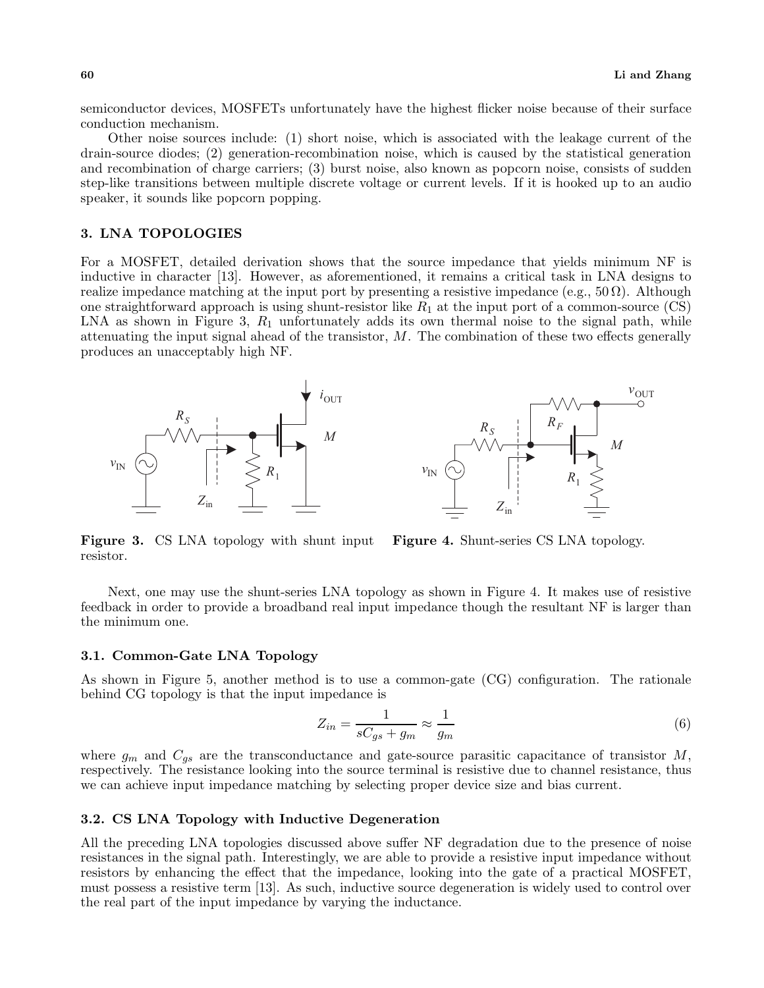semiconductor devices, MOSFETs unfortunately have the highest flicker noise because of their surface conduction mechanism.

Other noise sources include: (1) short noise, which is associated with the leakage current of the drain-source diodes; (2) generation-recombination noise, which is caused by the statistical generation and recombination of charge carriers; (3) burst noise, also known as popcorn noise, consists of sudden step-like transitions between multiple discrete voltage or current levels. If it is hooked up to an audio speaker, it sounds like popcorn popping.

# **3. LNA TOPOLOGIES**

For a MOSFET, detailed derivation shows that the source impedance that yields minimum NF is inductive in character [13]. However, as aforementioned, it remains a critical task in LNA designs to realize impedance matching at the input port by presenting a resistive impedance (e.g.,  $50 \Omega$ ). Although one straightforward approach is using shunt-resistor like  $R_1$  at the input port of a common-source (CS) LNA as shown in Figure 3,  $R_1$  unfortunately adds its own thermal noise to the signal path, while attenuating the input signal ahead of the transistor,  $M$ . The combination of these two effects generally produces an unacceptably high NF.





**Figure 3.** CS LNA topology with shunt input resistor. **Figure 4.** Shunt-series CS LNA topology.

Next, one may use the shunt-series LNA topology as shown in Figure 4. It makes use of resistive feedback in order to provide a broadband real input impedance though the resultant NF is larger than the minimum one.

### **3.1. Common-Gate LNA Topology**

As shown in Figure 5, another method is to use a common-gate (CG) configuration. The rationale behind CG topology is that the input impedance is

$$
Z_{in} = \frac{1}{sC_{gs} + g_m} \approx \frac{1}{g_m} \tag{6}
$$

where  $g_m$  and  $C_{gs}$  are the transconductance and gate-source parasitic capacitance of transistor  $M$ , respectively. The resistance looking into the source terminal is resistive due to channel resistance, thus we can achieve input impedance matching by selecting proper device size and bias current.

### **3.2. CS LNA Topology with Inductive Degeneration**

All the preceding LNA topologies discussed above suffer NF degradation due to the presence of noise resistances in the signal path. Interestingly, we are able to provide a resistive input impedance without resistors by enhancing the effect that the impedance, looking into the gate of a practical MOSFET, must possess a resistive term [13]. As such, inductive source degeneration is widely used to control over the real part of the input impedance by varying the inductance.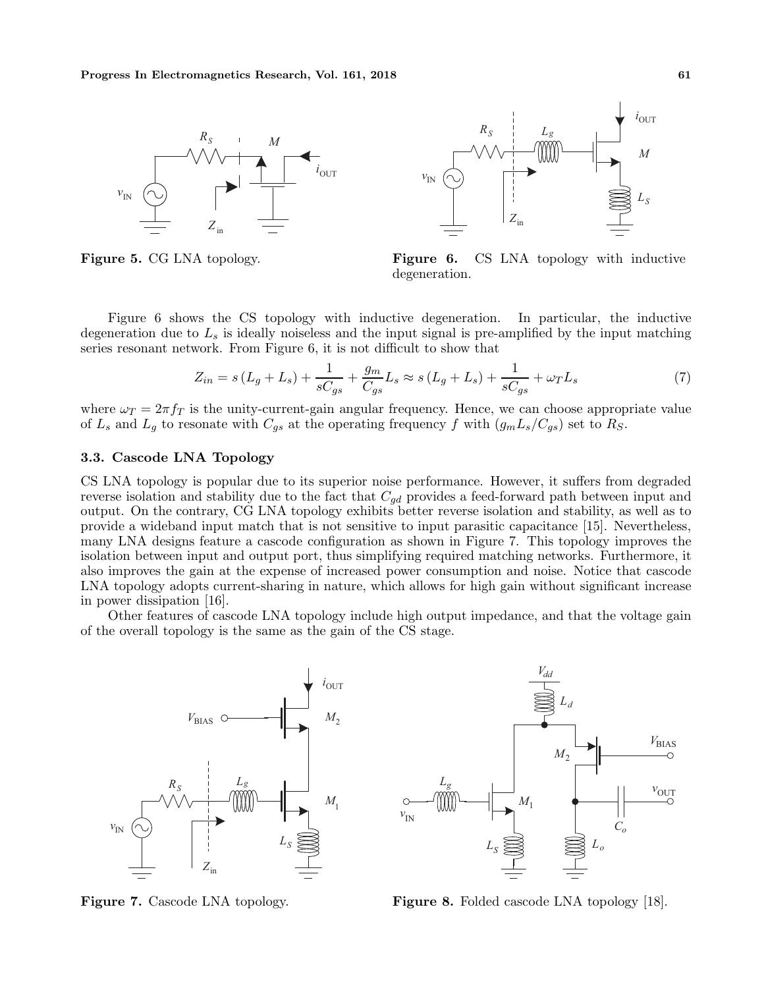

**Figure 5.** CG LNA topology.



**Figure 6.** CS LNA topology with inductive degeneration.

Figure 6 shows the CS topology with inductive degeneration. In particular, the inductive degeneration due to L*<sup>s</sup>* is ideally noiseless and the input signal is pre-amplified by the input matching series resonant network. From Figure 6, it is not difficult to show that

$$
Z_{in} = s(L_g + L_s) + \frac{1}{sC_{gs}} + \frac{g_m}{C_{gs}}L_s \approx s(L_g + L_s) + \frac{1}{sC_{gs}} + \omega_T L_s
$$
\n(7)

where  $\omega_T = 2\pi f_T$  is the unity-current-gain angular frequency. Hence, we can choose appropriate value of  $L_s$  and  $L_g$  to resonate with  $C_{gs}$  at the operating frequency f with  $(g_m L_s/C_{gs})$  set to  $R_S$ .

### **3.3. Cascode LNA Topology**

CS LNA topology is popular due to its superior noise performance. However, it suffers from degraded reverse isolation and stability due to the fact that C*gd* provides a feed-forward path between input and output. On the contrary, CG LNA topology exhibits better reverse isolation and stability, as well as to provide a wideband input match that is not sensitive to input parasitic capacitance [15]. Nevertheless, many LNA designs feature a cascode configuration as shown in Figure 7. This topology improves the isolation between input and output port, thus simplifying required matching networks. Furthermore, it also improves the gain at the expense of increased power consumption and noise. Notice that cascode LNA topology adopts current-sharing in nature, which allows for high gain without significant increase in power dissipation [16].

Other features of cascode LNA topology include high output impedance, and that the voltage gain of the overall topology is the same as the gain of the CS stage.





**Figure 7.** Cascode LNA topology.

**Figure 8.** Folded cascode LNA topology [18].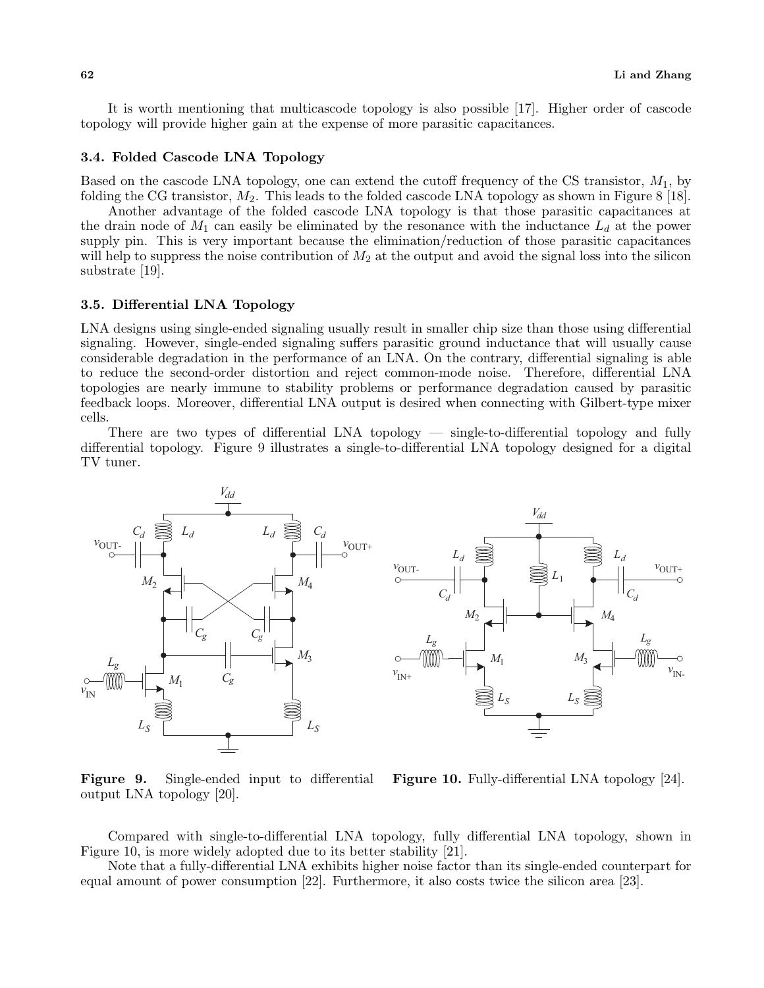$v_{\text{OUT+}}$ 

 $v_{\text{IN}}$ 

*Lg*

*Ld*

*Cd*

It is worth mentioning that multicascode topology is also possible [17]. Higher order of cascode topology will provide higher gain at the expense of more parasitic capacitances.

### **3.4. Folded Cascode LNA Topology**

Based on the cascode LNA topology, one can extend the cutoff frequency of the CS transistor,  $M_1$ , by folding the CG transistor,  $M_2$ . This leads to the folded cascode LNA topology as shown in Figure 8 [18].

Another advantage of the folded cascode LNA topology is that those parasitic capacitances at the drain node of  $M_1$  can easily be eliminated by the resonance with the inductance  $L_d$  at the power supply pin. This is very important because the elimination/reduction of those parasitic capacitances will help to suppress the noise contribution of  $M_2$  at the output and avoid the signal loss into the silicon substrate [19].

# **3.5. Differential LNA Topology**

LNA designs using single-ended signaling usually result in smaller chip size than those using differential signaling. However, single-ended signaling suffers parasitic ground inductance that will usually cause considerable degradation in the performance of an LNA. On the contrary, differential signaling is able to reduce the second-order distortion and reject common-mode noise. Therefore, differential LNA topologies are nearly immune to stability problems or performance degradation caused by parasitic feedback loops. Moreover, differential LNA output is desired when connecting with Gilbert-type mixer cells.

There are two types of differential LNA topology — single-to-differential topology and fully differential topology. Figure 9 illustrates a single-to-differential LNA topology designed for a digital TV tuner.



**Figure 9.** Single-ended input to differential output LNA topology [20].

**Figure 10.** Fully-differential LNA topology [24].

Compared with single-to-differential LNA topology, fully differential LNA topology, shown in Figure 10, is more widely adopted due to its better stability [21].

Note that a fully-differential LNA exhibits higher noise factor than its single-ended counterpart for equal amount of power consumption [22]. Furthermore, it also costs twice the silicon area [23].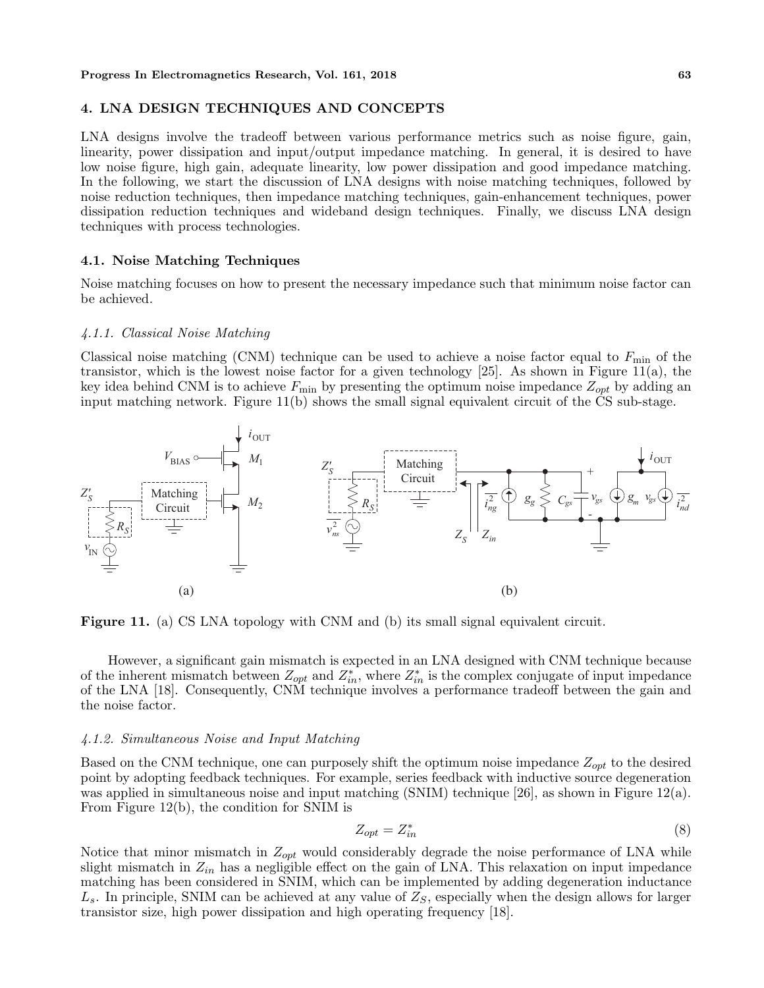### **4. LNA DESIGN TECHNIQUES AND CONCEPTS**

LNA designs involve the tradeoff between various performance metrics such as noise figure, gain, linearity, power dissipation and input/output impedance matching. In general, it is desired to have low noise figure, high gain, adequate linearity, low power dissipation and good impedance matching. In the following, we start the discussion of LNA designs with noise matching techniques, followed by noise reduction techniques, then impedance matching techniques, gain-enhancement techniques, power dissipation reduction techniques and wideband design techniques. Finally, we discuss LNA design techniques with process technologies.

# **4.1. Noise Matching Techniques**

Noise matching focuses on how to present the necessary impedance such that minimum noise factor can be achieved.

### *4.1.1. Classical Noise Matching*

Classical noise matching (CNM) technique can be used to achieve a noise factor equal to  $F_{\text{min}}$  of the transistor, which is the lowest noise factor for a given technology  $[25]$ . As shown in Figure 11(a), the key idea behind CNM is to achieve  $F_{\text{min}}$  by presenting the optimum noise impedance  $Z_{opt}$  by adding an input matching network. Figure 11(b) shows the small signal equivalent circuit of the CS sub-stage.



**Figure 11.** (a) CS LNA topology with CNM and (b) its small signal equivalent circuit.

However, a significant gain mismatch is expected in an LNA designed with CNM technique because of the inherent mismatch between  $Z_{opt}$  and  $Z_{in}^*$ , where  $Z_{in}^*$  is the complex conjugate of input impedance of the LNA [18]. Consequently, CNM technique involves a performance tradeoff between the gain and the noise factor.

### *4.1.2. Simultaneous Noise and Input Matching*

Based on the CNM technique, one can purposely shift the optimum noise impedance Z*opt* to the desired point by adopting feedback techniques. For example, series feedback with inductive source degeneration was applied in simultaneous noise and input matching (SNIM) technique [26], as shown in Figure 12(a). From Figure 12(b), the condition for SNIM is

$$
Z_{opt} = Z_{in}^* \tag{8}
$$

Notice that minor mismatch in Z*opt* would considerably degrade the noise performance of LNA while slight mismatch in Z*in* has a negligible effect on the gain of LNA. This relaxation on input impedance matching has been considered in SNIM, which can be implemented by adding degeneration inductance  $L_s$ . In principle, SNIM can be achieved at any value of  $Z_s$ , especially when the design allows for larger transistor size, high power dissipation and high operating frequency [18].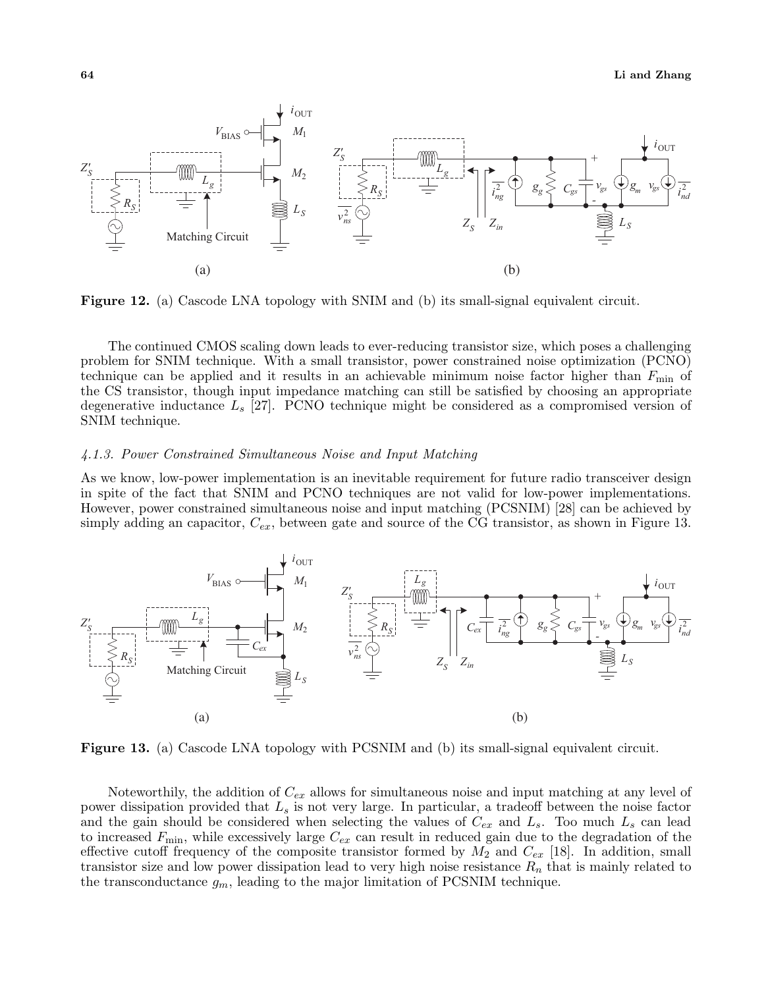

**Figure 12.** (a) Cascode LNA topology with SNIM and (b) its small-signal equivalent circuit.

The continued CMOS scaling down leads to ever-reducing transistor size, which poses a challenging problem for SNIM technique. With a small transistor, power constrained noise optimization (PCNO) technique can be applied and it results in an achievable minimum noise factor higher than  $F_{\text{min}}$  of the CS transistor, though input impedance matching can still be satisfied by choosing an appropriate degenerative inductance L*<sup>s</sup>* [27]. PCNO technique might be considered as a compromised version of SNIM technique.

# *4.1.3. Power Constrained Simultaneous Noise and Input Matching*

As we know, low-power implementation is an inevitable requirement for future radio transceiver design in spite of the fact that SNIM and PCNO techniques are not valid for low-power implementations. However, power constrained simultaneous noise and input matching (PCSNIM) [28] can be achieved by simply adding an capacitor, C*ex*, between gate and source of the CG transistor, as shown in Figure 13.



**Figure 13.** (a) Cascode LNA topology with PCSNIM and (b) its small-signal equivalent circuit.

Noteworthily, the addition of C*ex* allows for simultaneous noise and input matching at any level of power dissipation provided that L*<sup>s</sup>* is not very large. In particular, a tradeoff between the noise factor and the gain should be considered when selecting the values of C*ex* and L*s*. Too much L*<sup>s</sup>* can lead to increased  $F_{\text{min}}$ , while excessively large  $C_{ex}$  can result in reduced gain due to the degradation of the effective cutoff frequency of the composite transistor formed by M<sup>2</sup> and C*ex* [18]. In addition, small transistor size and low power dissipation lead to very high noise resistance R*<sup>n</sup>* that is mainly related to the transconductance  $g_m$ , leading to the major limitation of PCSNIM technique.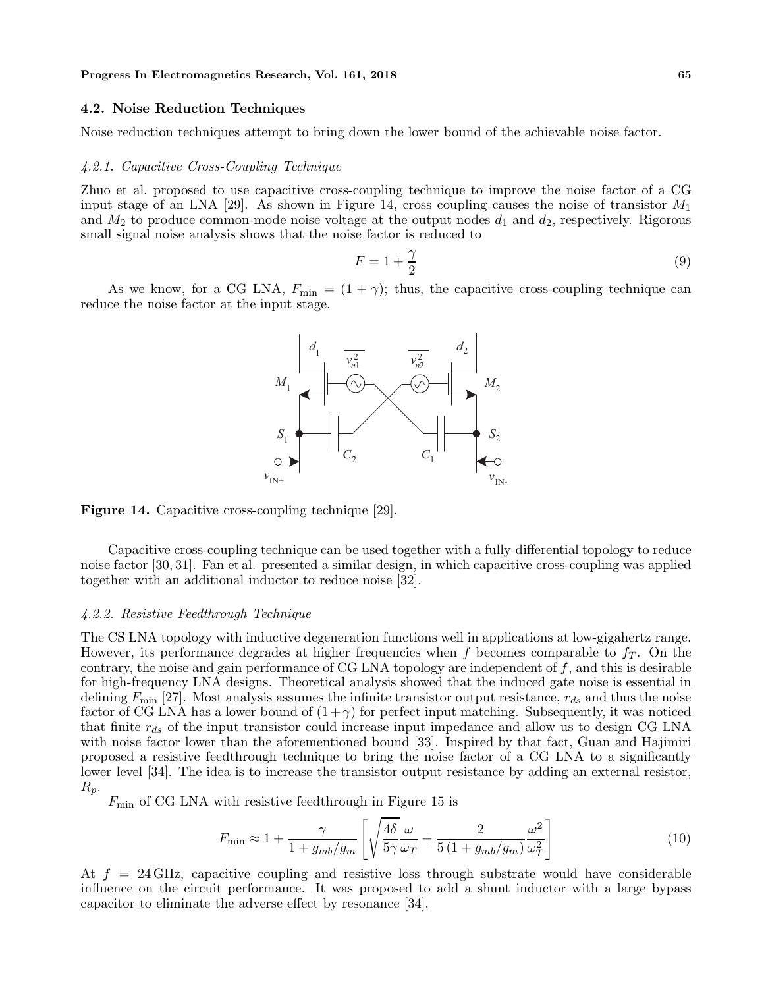### **4.2. Noise Reduction Techniques**

Noise reduction techniques attempt to bring down the lower bound of the achievable noise factor.

# *4.2.1. Capacitive Cross-Coupling Technique*

Zhuo et al. proposed to use capacitive cross-coupling technique to improve the noise factor of a CG input stage of an LNA [29]. As shown in Figure 14, cross coupling causes the noise of transistor  $M_1$ and  $M_2$  to produce common-mode noise voltage at the output nodes  $d_1$  and  $d_2$ , respectively. Rigorous small signal noise analysis shows that the noise factor is reduced to

$$
F = 1 + \frac{\gamma}{2} \tag{9}
$$

As we know, for a CG LNA,  $F_{\text{min}} = (1 + \gamma)$ ; thus, the capacitive cross-coupling technique can reduce the noise factor at the input stage.



**Figure 14.** Capacitive cross-coupling technique [29].

Capacitive cross-coupling technique can be used together with a fully-differential topology to reduce noise factor [30, 31]. Fan et al. presented a similar design, in which capacitive cross-coupling was applied together with an additional inductor to reduce noise [32].

#### *4.2.2. Resistive Feedthrough Technique*

The CS LNA topology with inductive degeneration functions well in applications at low-gigahertz range. However, its performance degrades at higher frequencies when f becomes comparable to  $f<sub>T</sub>$ . On the contrary, the noise and gain performance of CG LNA topology are independent of  $f$ , and this is desirable for high-frequency LNA designs. Theoretical analysis showed that the induced gate noise is essential in defining Fmin [27]. Most analysis assumes the infinite transistor output resistance, r*ds* and thus the noise factor of CG LNA has a lower bound of  $(1+\gamma)$  for perfect input matching. Subsequently, it was noticed that finite r*ds* of the input transistor could increase input impedance and allow us to design CG LNA with noise factor lower than the aforementioned bound [33]. Inspired by that fact, Guan and Hajimiri proposed a resistive feedthrough technique to bring the noise factor of a CG LNA to a significantly lower level [34]. The idea is to increase the transistor output resistance by adding an external resistor, R*p*.

 $F_{\text{min}}$  of CG LNA with resistive feedthrough in Figure 15 is

$$
F_{\min} \approx 1 + \frac{\gamma}{1 + g_{mb}/g_m} \left[ \sqrt{\frac{4\delta}{5\gamma}} \frac{\omega}{\omega_T} + \frac{2}{5\left(1 + g_{mb}/g_m\right)} \frac{\omega^2}{\omega_T^2} \right] \tag{10}
$$

At  $f = 24 \text{ GHz}$ , capacitive coupling and resistive loss through substrate would have considerable influence on the circuit performance. It was proposed to add a shunt inductor with a large bypass capacitor to eliminate the adverse effect by resonance [34].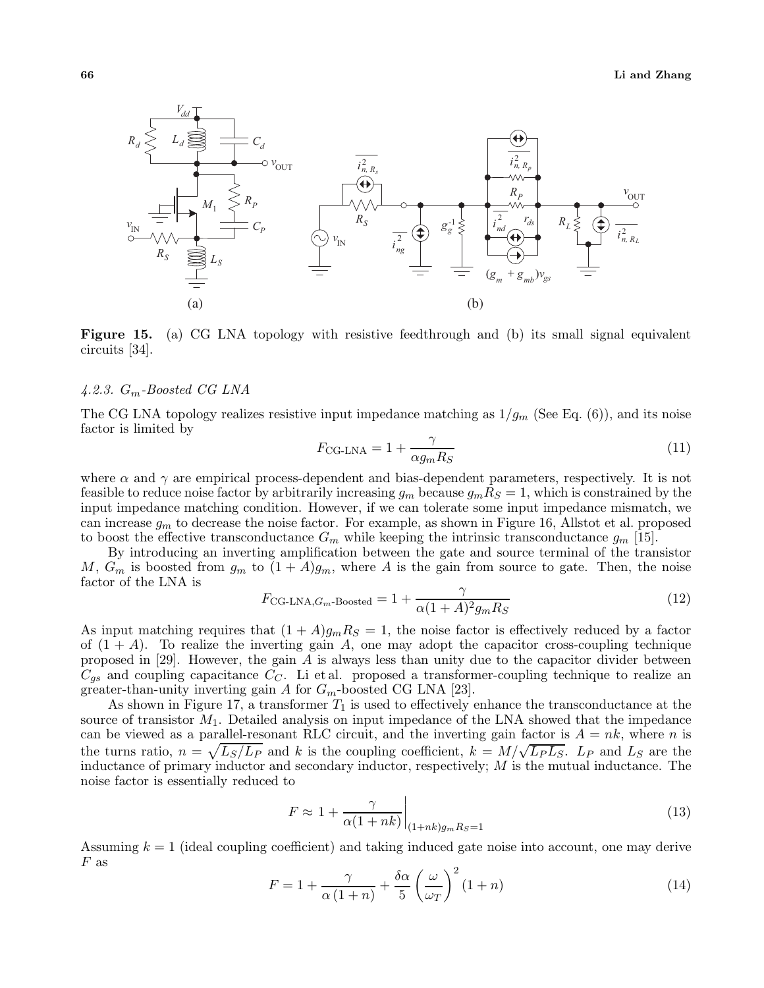

**Figure 15.** (a) CG LNA topology with resistive feedthrough and (b) its small signal equivalent circuits [34].

# *4.2.3.* G*m-Boosted CG LNA*

The CG LNA topology realizes resistive input impedance matching as 1/g*<sup>m</sup>* (See Eq. (6)), and its noise factor is limited by

$$
F_{\text{CG-LNA}} = 1 + \frac{\gamma}{\alpha g_m R_S} \tag{11}
$$

where  $\alpha$  and  $\gamma$  are empirical process-dependent and bias-dependent parameters, respectively. It is not feasible to reduce noise factor by arbitrarily increasing  $g_m$  because  $g_m R_S = 1$ , which is constrained by the input impedance matching condition. However, if we can tolerate some input impedance mismatch, we can increase  $g_m$  to decrease the noise factor. For example, as shown in Figure 16, Allstot et al. proposed to boost the effective transconductance  $G_m$  while keeping the intrinsic transconductance  $g_m$  [15].

By introducing an inverting amplification between the gate and source terminal of the transistor M,  $G_m$  is boosted from  $g_m$  to  $(1 + A)g_m$ , where A is the gain from source to gate. Then, the noise factor of the LNA is

$$
F_{\text{CG-LNA}, G_m\text{-Boosted}} = 1 + \frac{\gamma}{\alpha (1 + A)^2 g_m R_S} \tag{12}
$$

As input matching requires that  $(1 + A)g_mR_S = 1$ , the noise factor is effectively reduced by a factor of  $(1 + A)$ . To realize the inverting gain A, one may adopt the capacitor cross-coupling technique proposed in [29]. However, the gain  $A$  is always less than unity due to the capacitor divider between  $C_{gs}$  and coupling capacitance  $C_C$ . Li et al. proposed a transformer-coupling technique to realize an greater-than-unity inverting gain A for G*m*-boosted CG LNA [23].

As shown in Figure 17, a transformer  $T_1$  is used to effectively enhance the transconductance at the source of transistor  $M_1$ . Detailed analysis on input impedance of the LNA showed that the impedance can be viewed as a parallel-resonant RLC circuit, and the inverting gain factor is  $A = nk$ , where n is the turns ratio,  $n = \sqrt{L_S/L_P}$  and k is the coupling coefficient,  $k = M/\sqrt{L_P L_S}$ .  $L_P$  and  $L_S$  are the inductance of primary inductor and secondary inductor, respectively;  $M$  is the mutual inductance. The noise factor is essentially reduced to

$$
F \approx 1 + \frac{\gamma}{\alpha (1 + nk)} \bigg|_{(1 + nk)g_m R_S = 1} \tag{13}
$$

Assuming  $k = 1$  (ideal coupling coefficient) and taking induced gate noise into account, one may derive  $F$  as

$$
F = 1 + \frac{\gamma}{\alpha(1+n)} + \frac{\delta\alpha}{5} \left(\frac{\omega}{\omega_T}\right)^2 (1+n)
$$
\n(14)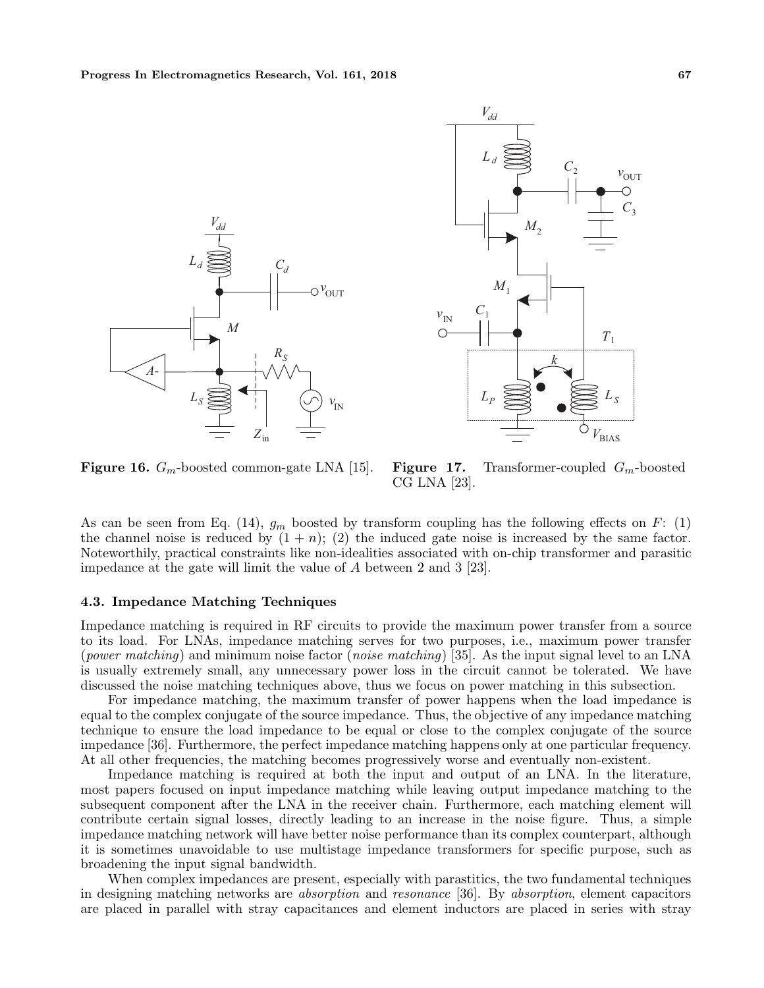



**Figure 16.** G*m*-boosted common-gate LNA [15].

**Figure 17.** Transformer-coupled G*m*-boosted CG LNA [23].

As can be seen from Eq.  $(14)$ ,  $g_m$  boosted by transform coupling has the following effects on F:  $(1)$ the channel noise is reduced by  $(1 + n)$ ; (2) the induced gate noise is increased by the same factor. Noteworthily, practical constraints like non-idealities associated with on-chip transformer and parasitic impedance at the gate will limit the value of A between 2 and 3 [23].

# **4.3. Impedance Matching Techniques**

Impedance matching is required in RF circuits to provide the maximum power transfer from a source to its load. For LNAs, impedance matching serves for two purposes, i.e., maximum power transfer (*power matching*) and minimum noise factor (*noise matching*) [35]. As the input signal level to an LNA is usually extremely small, any unnecessary power loss in the circuit cannot be tolerated. We have discussed the noise matching techniques above, thus we focus on power matching in this subsection.

For impedance matching, the maximum transfer of power happens when the load impedance is equal to the complex conjugate of the source impedance. Thus, the objective of any impedance matching technique to ensure the load impedance to be equal or close to the complex conjugate of the source impedance [36]. Furthermore, the perfect impedance matching happens only at one particular frequency. At all other frequencies, the matching becomes progressively worse and eventually non-existent.

Impedance matching is required at both the input and output of an LNA. In the literature, most papers focused on input impedance matching while leaving output impedance matching to the subsequent component after the LNA in the receiver chain. Furthermore, each matching element will contribute certain signal losses, directly leading to an increase in the noise figure. Thus, a simple impedance matching network will have better noise performance than its complex counterpart, although it is sometimes unavoidable to use multistage impedance transformers for specific purpose, such as broadening the input signal bandwidth.

When complex impedances are present, especially with parastitics, the two fundamental techniques in designing matching networks are *absorption* and *resonance* [36]. By *absorption*, element capacitors are placed in parallel with stray capacitances and element inductors are placed in series with stray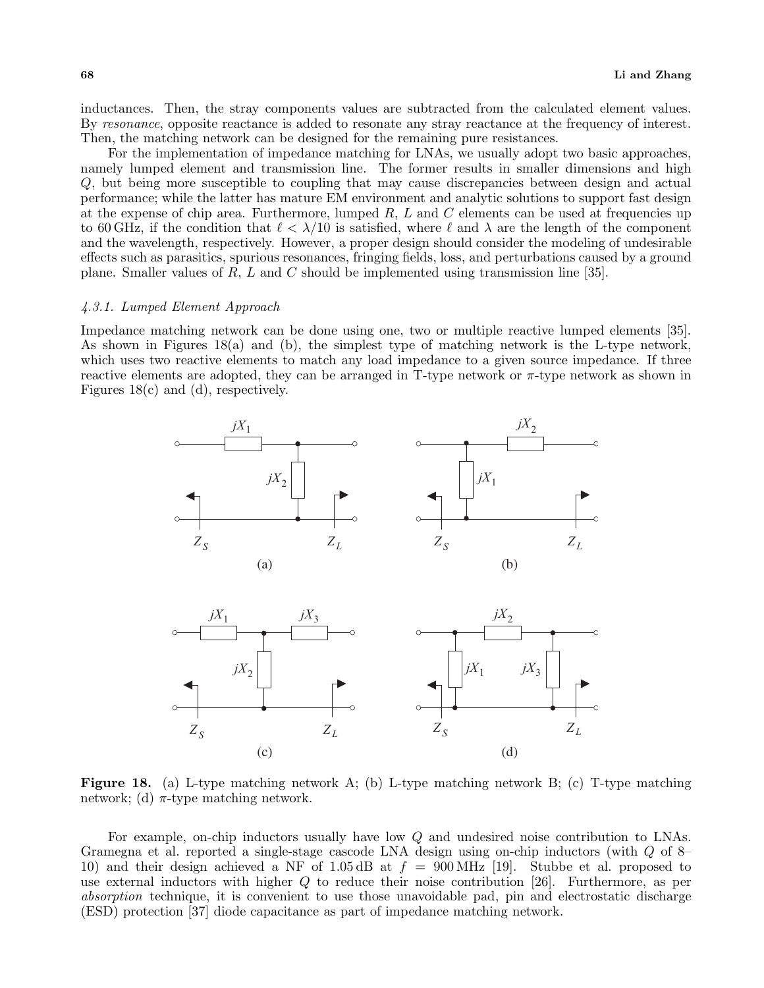inductances. Then, the stray components values are subtracted from the calculated element values. By *resonance*, opposite reactance is added to resonate any stray reactance at the frequency of interest. Then, the matching network can be designed for the remaining pure resistances.

For the implementation of impedance matching for LNAs, we usually adopt two basic approaches, namely lumped element and transmission line. The former results in smaller dimensions and high Q, but being more susceptible to coupling that may cause discrepancies between design and actual performance; while the latter has mature EM environment and analytic solutions to support fast design at the expense of chip area. Furthermore, lumped  $R$ ,  $L$  and  $C$  elements can be used at frequencies up to 60 GHz, if the condition that  $\ell < \lambda/10$  is satisfied, where  $\ell$  and  $\lambda$  are the length of the component and the wavelength, respectively. However, a proper design should consider the modeling of undesirable effects such as parasitics, spurious resonances, fringing fields, loss, and perturbations caused by a ground plane. Smaller values of R, L and C should be implemented using transmission line  $[35]$ .

### *4.3.1. Lumped Element Approach*

Impedance matching network can be done using one, two or multiple reactive lumped elements [35]. As shown in Figures 18(a) and (b), the simplest type of matching network is the L-type network, which uses two reactive elements to match any load impedance to a given source impedance. If three reactive elements are adopted, they can be arranged in T-type network or  $\pi$ -type network as shown in Figures 18(c) and (d), respectively.



**Figure 18.** (a) L-type matching network A; (b) L-type matching network B; (c) T-type matching network; (d)  $\pi$ -type matching network.

For example, on-chip inductors usually have low Q and undesired noise contribution to LNAs. Gramegna et al. reported a single-stage cascode LNA design using on-chip inductors (with Q of 8– 10) and their design achieved a NF of 1.05 dB at  $f = 900$  MHz [19]. Stubbe et al. proposed to use external inductors with higher Q to reduce their noise contribution [26]. Furthermore, as per *absorption* technique, it is convenient to use those unavoidable pad, pin and electrostatic discharge (ESD) protection [37] diode capacitance as part of impedance matching network.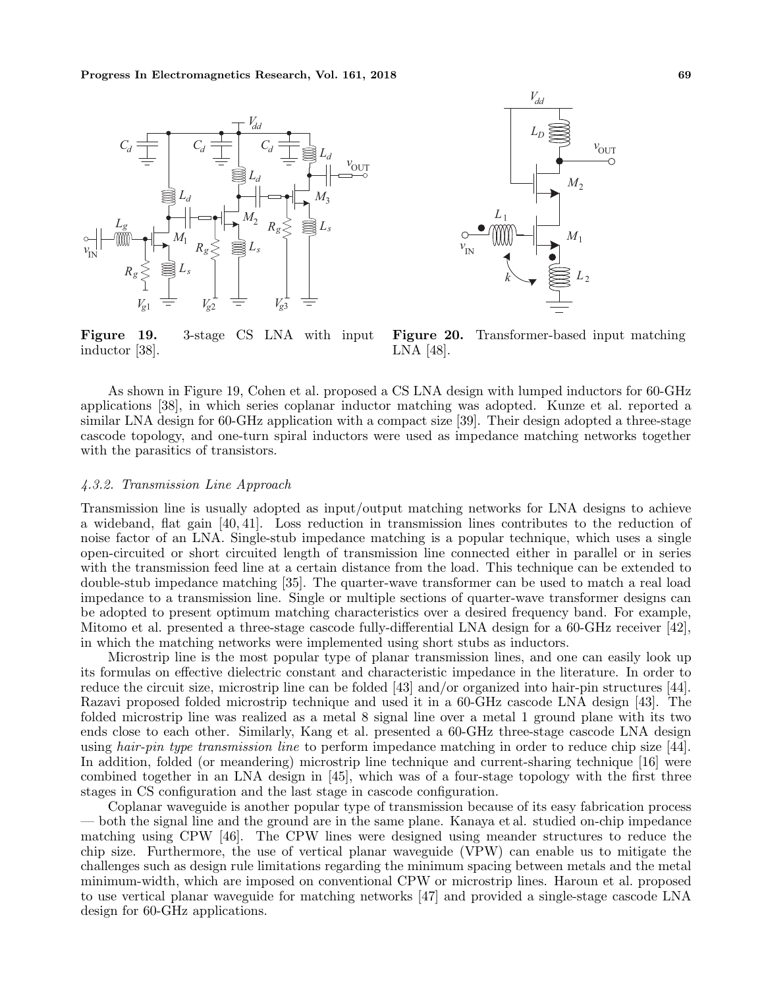



**Figure 19.** 3-stage CS LNA with input inductor [38].

**Figure 20.** Transformer-based input matching LNA [48].

As shown in Figure 19, Cohen et al. proposed a CS LNA design with lumped inductors for 60-GHz applications [38], in which series coplanar inductor matching was adopted. Kunze et al. reported a similar LNA design for 60-GHz application with a compact size [39]. Their design adopted a three-stage cascode topology, and one-turn spiral inductors were used as impedance matching networks together with the parasitics of transistors.

#### *4.3.2. Transmission Line Approach*

Transmission line is usually adopted as input/output matching networks for LNA designs to achieve a wideband, flat gain [40, 41]. Loss reduction in transmission lines contributes to the reduction of noise factor of an LNA. Single-stub impedance matching is a popular technique, which uses a single open-circuited or short circuited length of transmission line connected either in parallel or in series with the transmission feed line at a certain distance from the load. This technique can be extended to double-stub impedance matching [35]. The quarter-wave transformer can be used to match a real load impedance to a transmission line. Single or multiple sections of quarter-wave transformer designs can be adopted to present optimum matching characteristics over a desired frequency band. For example, Mitomo et al. presented a three-stage cascode fully-differential LNA design for a 60-GHz receiver [42], in which the matching networks were implemented using short stubs as inductors.

Microstrip line is the most popular type of planar transmission lines, and one can easily look up its formulas on effective dielectric constant and characteristic impedance in the literature. In order to reduce the circuit size, microstrip line can be folded [43] and/or organized into hair-pin structures [44]. Razavi proposed folded microstrip technique and used it in a 60-GHz cascode LNA design [43]. The folded microstrip line was realized as a metal 8 signal line over a metal 1 ground plane with its two ends close to each other. Similarly, Kang et al. presented a 60-GHz three-stage cascode LNA design using *hair-pin type transmission line* to perform impedance matching in order to reduce chip size [44]. In addition, folded (or meandering) microstrip line technique and current-sharing technique [16] were combined together in an LNA design in [45], which was of a four-stage topology with the first three stages in CS configuration and the last stage in cascode configuration.

Coplanar waveguide is another popular type of transmission because of its easy fabrication process — both the signal line and the ground are in the same plane. Kanaya et al. studied on-chip impedance matching using CPW [46]. The CPW lines were designed using meander structures to reduce the chip size. Furthermore, the use of vertical planar waveguide (VPW) can enable us to mitigate the challenges such as design rule limitations regarding the minimum spacing between metals and the metal minimum-width, which are imposed on conventional CPW or microstrip lines. Haroun et al. proposed to use vertical planar waveguide for matching networks [47] and provided a single-stage cascode LNA design for 60-GHz applications.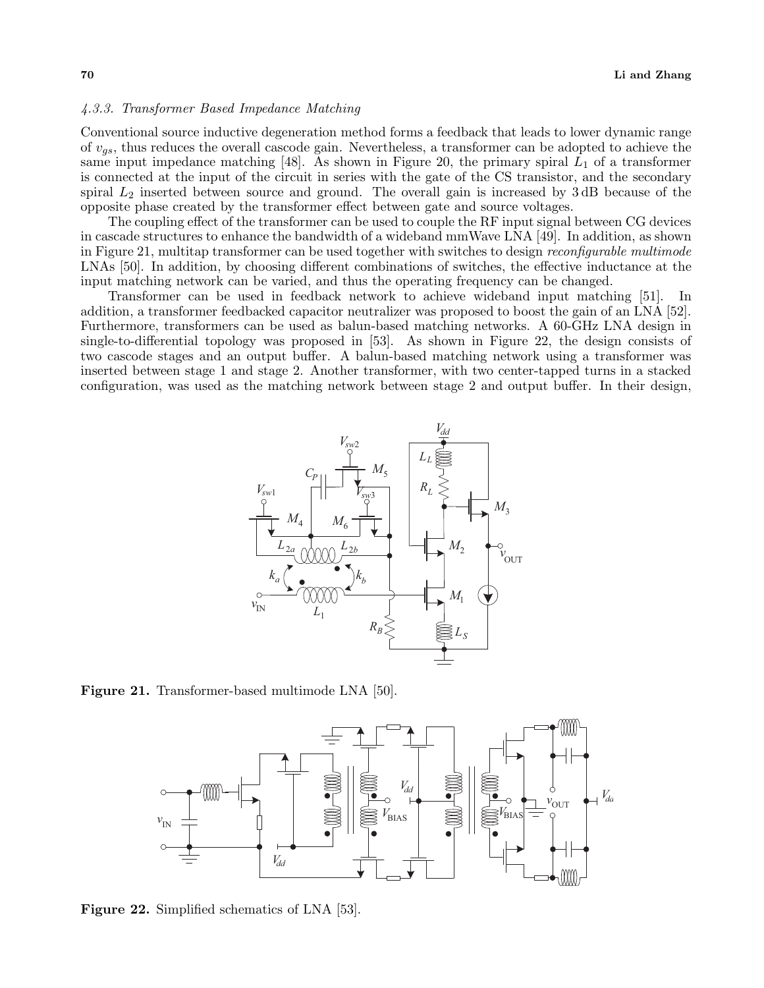# *4.3.3. Transformer Based Impedance Matching*

Conventional source inductive degeneration method forms a feedback that leads to lower dynamic range of v*gs*, thus reduces the overall cascode gain. Nevertheless, a transformer can be adopted to achieve the same input impedance matching [48]. As shown in Figure 20, the primary spiral  $L_1$  of a transformer is connected at the input of the circuit in series with the gate of the CS transistor, and the secondary spiral  $L_2$  inserted between source and ground. The overall gain is increased by 3 dB because of the opposite phase created by the transformer effect between gate and source voltages.

The coupling effect of the transformer can be used to couple the RF input signal between CG devices in cascade structures to enhance the bandwidth of a wideband mmWave LNA [49]. In addition, as shown in Figure 21, multitap transformer can be used together with switches to design *reconfigurable multimode* LNAs [50]. In addition, by choosing different combinations of switches, the effective inductance at the input matching network can be varied, and thus the operating frequency can be changed.

Transformer can be used in feedback network to achieve wideband input matching [51]. In addition, a transformer feedbacked capacitor neutralizer was proposed to boost the gain of an LNA [52]. Furthermore, transformers can be used as balun-based matching networks. A 60-GHz LNA design in single-to-differential topology was proposed in [53]. As shown in Figure 22, the design consists of two cascode stages and an output buffer. A balun-based matching network using a transformer was inserted between stage 1 and stage 2. Another transformer, with two center-tapped turns in a stacked configuration, was used as the matching network between stage 2 and output buffer. In their design,



**Figure 21.** Transformer-based multimode LNA [50].



**Figure 22.** Simplified schematics of LNA [53].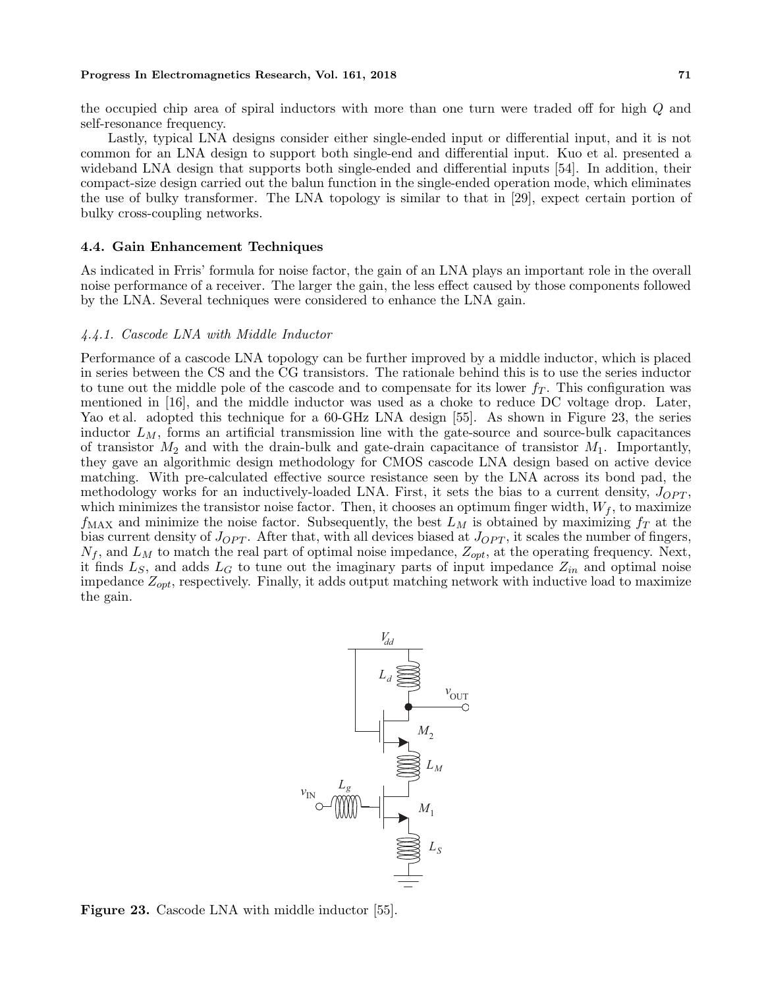the occupied chip area of spiral inductors with more than one turn were traded off for high Q and self-resonance frequency.

Lastly, typical LNA designs consider either single-ended input or differential input, and it is not common for an LNA design to support both single-end and differential input. Kuo et al. presented a wideband LNA design that supports both single-ended and differential inputs [54]. In addition, their compact-size design carried out the balun function in the single-ended operation mode, which eliminates the use of bulky transformer. The LNA topology is similar to that in [29], expect certain portion of bulky cross-coupling networks.

# **4.4. Gain Enhancement Techniques**

As indicated in Frris' formula for noise factor, the gain of an LNA plays an important role in the overall noise performance of a receiver. The larger the gain, the less effect caused by those components followed by the LNA. Several techniques were considered to enhance the LNA gain.

### *4.4.1. Cascode LNA with Middle Inductor*

Performance of a cascode LNA topology can be further improved by a middle inductor, which is placed in series between the CS and the CG transistors. The rationale behind this is to use the series inductor to tune out the middle pole of the cascode and to compensate for its lower  $f<sub>T</sub>$ . This configuration was mentioned in [16], and the middle inductor was used as a choke to reduce DC voltage drop. Later, Yao et al. adopted this technique for a 60-GHz LNA design [55]. As shown in Figure 23, the series inductor  $L_M$ , forms an artificial transmission line with the gate-source and source-bulk capacitances of transistor  $M_2$  and with the drain-bulk and gate-drain capacitance of transistor  $M_1$ . Importantly, they gave an algorithmic design methodology for CMOS cascode LNA design based on active device matching. With pre-calculated effective source resistance seen by the LNA across its bond pad, the methodology works for an inductively-loaded LNA. First, it sets the bias to a current density, J*OPT* , which minimizes the transistor noise factor. Then, it chooses an optimum finger width,  $W_f$ , to maximize  $f_{\text{MAX}}$  and minimize the noise factor. Subsequently, the best  $L_M$  is obtained by maximizing  $f_T$  at the bias current density of J*OPT* . After that, with all devices biased at J*OPT* , it scales the number of fingers,  $N_f$ , and  $L_M$  to match the real part of optimal noise impedance,  $Z_{opt}$ , at the operating frequency. Next, it finds L*S*, and adds L*<sup>G</sup>* to tune out the imaginary parts of input impedance Z*in* and optimal noise impedance Z*opt*, respectively. Finally, it adds output matching network with inductive load to maximize the gain.



**Figure 23.** Cascode LNA with middle inductor [55].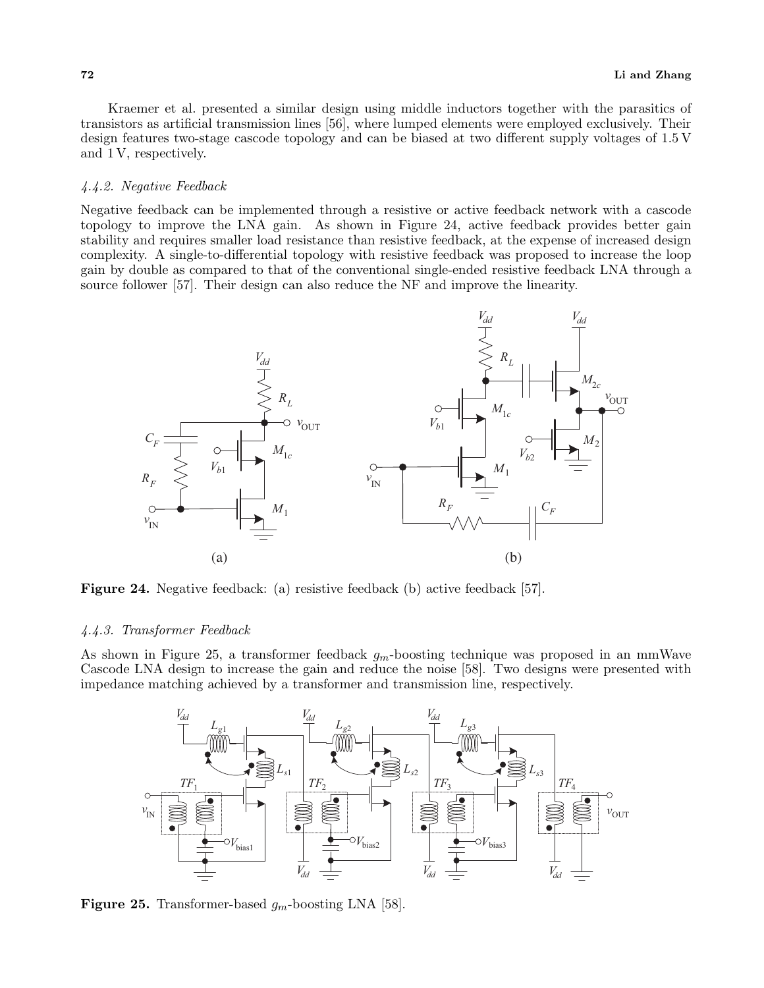Kraemer et al. presented a similar design using middle inductors together with the parasitics of transistors as artificial transmission lines [56], where lumped elements were employed exclusively. Their design features two-stage cascode topology and can be biased at two different supply voltages of 1.5 V and 1 V, respectively.

# *4.4.2. Negative Feedback*

Negative feedback can be implemented through a resistive or active feedback network with a cascode topology to improve the LNA gain. As shown in Figure 24, active feedback provides better gain stability and requires smaller load resistance than resistive feedback, at the expense of increased design complexity. A single-to-differential topology with resistive feedback was proposed to increase the loop gain by double as compared to that of the conventional single-ended resistive feedback LNA through a source follower [57]. Their design can also reduce the NF and improve the linearity.



**Figure 24.** Negative feedback: (a) resistive feedback (b) active feedback [57].

# *4.4.3. Transformer Feedback*

As shown in Figure 25, a transformer feedback g*m*-boosting technique was proposed in an mmWave Cascode LNA design to increase the gain and reduce the noise [58]. Two designs were presented with impedance matching achieved by a transformer and transmission line, respectively.



**Figure 25.** Transformer-based g*m*-boosting LNA [58].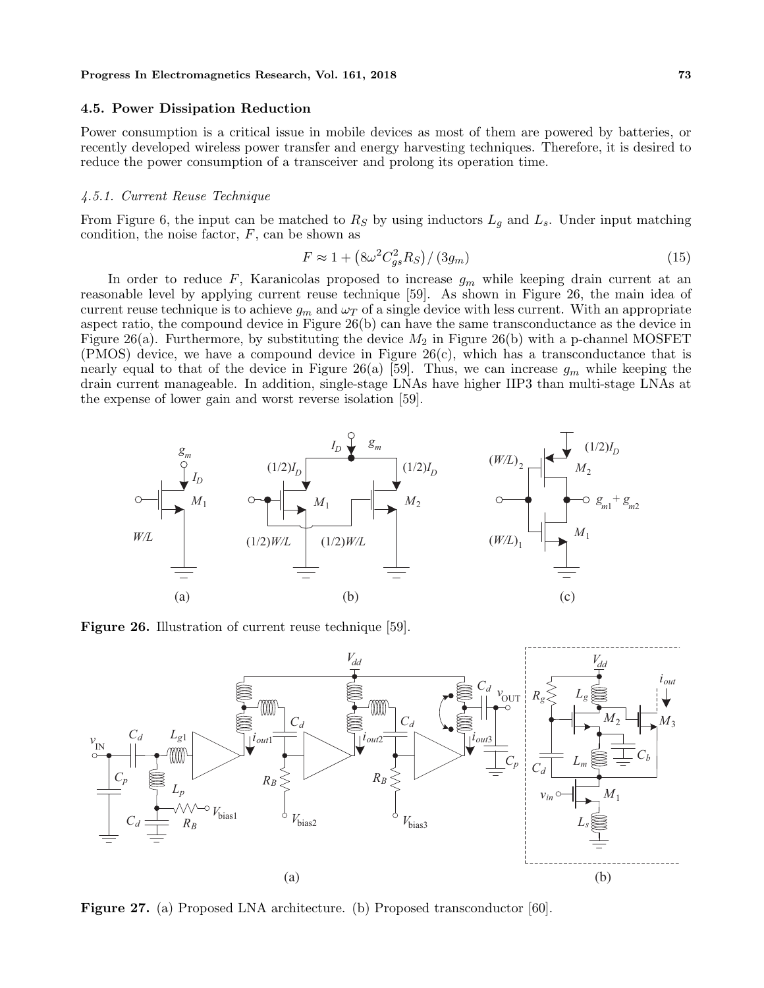### **4.5. Power Dissipation Reduction**

Power consumption is a critical issue in mobile devices as most of them are powered by batteries, or recently developed wireless power transfer and energy harvesting techniques. Therefore, it is desired to reduce the power consumption of a transceiver and prolong its operation time.

#### *4.5.1. Current Reuse Technique*

From Figure 6, the input can be matched to  $R<sub>S</sub>$  by using inductors  $L<sub>g</sub>$  and  $L<sub>s</sub>$ . Under input matching condition, the noise factor,  $F$ , can be shown as

$$
F \approx 1 + \left(8\omega^2 C_{gs}^2 R_S\right) / \left(3g_m\right) \tag{15}
$$

In order to reduce F, Karanicolas proposed to increase  $g_m$  while keeping drain current at an reasonable level by applying current reuse technique [59]. As shown in Figure 26, the main idea of current reuse technique is to achieve  $g_m$  and  $\omega_T$  of a single device with less current. With an appropriate aspect ratio, the compound device in Figure 26(b) can have the same transconductance as the device in Figure 26(a). Furthermore, by substituting the device  $M_2$  in Figure 26(b) with a p-channel MOSFET (PMOS) device, we have a compound device in Figure 26(c), which has a transconductance that is nearly equal to that of the device in Figure 26(a) [59]. Thus, we can increase  $g_m$  while keeping the drain current manageable. In addition, single-stage LNAs have higher IIP3 than multi-stage LNAs at the expense of lower gain and worst reverse isolation [59].



**Figure 26.** Illustration of current reuse technique [59].



**Figure 27.** (a) Proposed LNA architecture. (b) Proposed transconductor [60].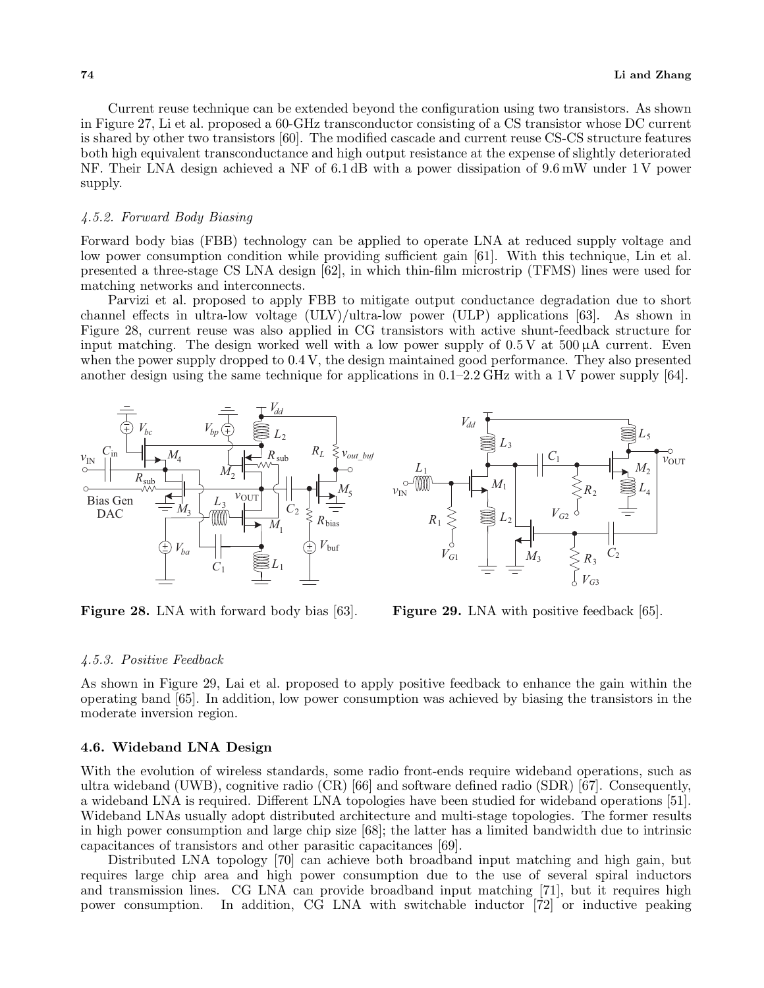Current reuse technique can be extended beyond the configuration using two transistors. As shown in Figure 27, Li et al. proposed a 60-GHz transconductor consisting of a CS transistor whose DC current is shared by other two transistors [60]. The modified cascade and current reuse CS-CS structure features both high equivalent transconductance and high output resistance at the expense of slightly deteriorated NF. Their LNA design achieved a NF of 6.1 dB with a power dissipation of 9.6 mW under 1 V power supply.

### *4.5.2. Forward Body Biasing*

Forward body bias (FBB) technology can be applied to operate LNA at reduced supply voltage and low power consumption condition while providing sufficient gain [61]. With this technique, Lin et al. presented a three-stage CS LNA design [62], in which thin-film microstrip (TFMS) lines were used for matching networks and interconnects.

Parvizi et al. proposed to apply FBB to mitigate output conductance degradation due to short channel effects in ultra-low voltage (ULV)/ultra-low power (ULP) applications [63]. As shown in Figure 28, current reuse was also applied in CG transistors with active shunt-feedback structure for input matching. The design worked well with a low power supply of  $0.5 \text{V}$  at  $500 \mu\text{A}$  current. Even when the power supply dropped to 0.4 V, the design maintained good performance. They also presented another design using the same technique for applications in  $0.1-2.2 \text{ GHz with a } 1 \text{ V power supply } [64].$ 



**Figure 28.** LNA with forward body bias [63].

**Figure 29.** LNA with positive feedback [65].

# *4.5.3. Positive Feedback*

As shown in Figure 29, Lai et al. proposed to apply positive feedback to enhance the gain within the operating band [65]. In addition, low power consumption was achieved by biasing the transistors in the moderate inversion region.

# **4.6. Wideband LNA Design**

With the evolution of wireless standards, some radio front-ends require wideband operations, such as ultra wideband (UWB), cognitive radio (CR) [66] and software defined radio (SDR) [67]. Consequently, a wideband LNA is required. Different LNA topologies have been studied for wideband operations [51]. Wideband LNAs usually adopt distributed architecture and multi-stage topologies. The former results in high power consumption and large chip size [68]; the latter has a limited bandwidth due to intrinsic capacitances of transistors and other parasitic capacitances [69].

Distributed LNA topology [70] can achieve both broadband input matching and high gain, but requires large chip area and high power consumption due to the use of several spiral inductors and transmission lines. CG LNA can provide broadband input matching [71], but it requires high power consumption. In addition, CG LNA with switchable inductor [72] or inductive peaking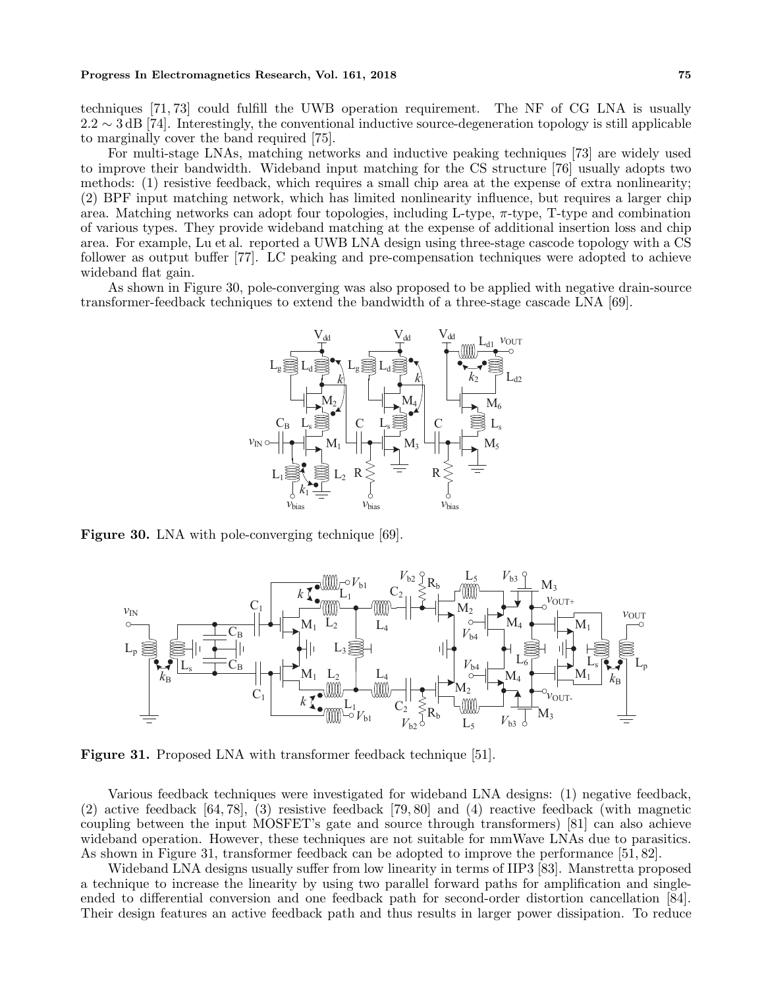techniques [71, 73] could fulfill the UWB operation requirement. The NF of CG LNA is usually 2.2 ∼ 3 dB [74]. Interestingly, the conventional inductive source-degeneration topology is still applicable to marginally cover the band required [75].

For multi-stage LNAs, matching networks and inductive peaking techniques [73] are widely used to improve their bandwidth. Wideband input matching for the CS structure [76] usually adopts two methods: (1) resistive feedback, which requires a small chip area at the expense of extra nonlinearity; (2) BPF input matching network, which has limited nonlinearity influence, but requires a larger chip area. Matching networks can adopt four topologies, including L-type,  $\pi$ -type, T-type and combination of various types. They provide wideband matching at the expense of additional insertion loss and chip area. For example, Lu et al. reported a UWB LNA design using three-stage cascode topology with a CS follower as output buffer [77]. LC peaking and pre-compensation techniques were adopted to achieve wideband flat gain.

As shown in Figure 30, pole-converging was also proposed to be applied with negative drain-source transformer-feedback techniques to extend the bandwidth of a three-stage cascade LNA [69].



**Figure 30.** LNA with pole-converging technique [69].



**Figure 31.** Proposed LNA with transformer feedback technique [51].

Various feedback techniques were investigated for wideband LNA designs: (1) negative feedback, (2) active feedback [64, 78], (3) resistive feedback [79, 80] and (4) reactive feedback (with magnetic coupling between the input MOSFET's gate and source through transformers) [81] can also achieve wideband operation. However, these techniques are not suitable for mmWave LNAs due to parasitics. As shown in Figure 31, transformer feedback can be adopted to improve the performance [51, 82].

Wideband LNA designs usually suffer from low linearity in terms of IIP3 [83]. Manstretta proposed a technique to increase the linearity by using two parallel forward paths for amplification and singleended to differential conversion and one feedback path for second-order distortion cancellation [84]. Their design features an active feedback path and thus results in larger power dissipation. To reduce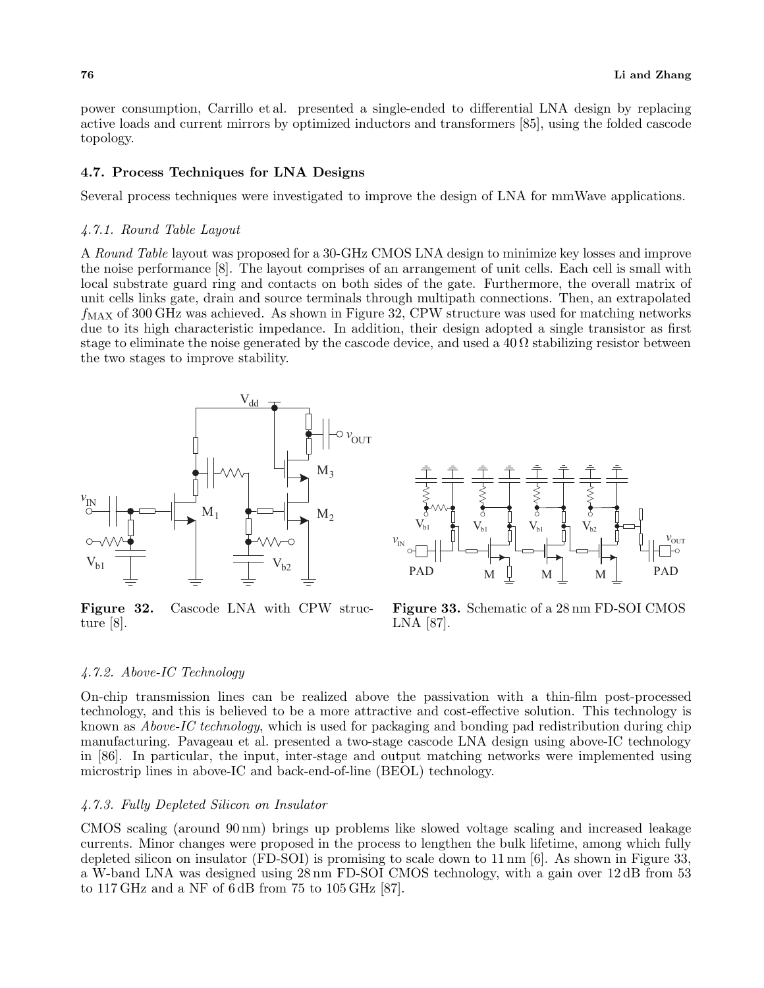power consumption, Carrillo et al. presented a single-ended to differential LNA design by replacing active loads and current mirrors by optimized inductors and transformers [85], using the folded cascode topology.

# **4.7. Process Techniques for LNA Designs**

Several process techniques were investigated to improve the design of LNA for mmWave applications.

### *4.7.1. Round Table Layout*

A *Round Table* layout was proposed for a 30-GHz CMOS LNA design to minimize key losses and improve the noise performance [8]. The layout comprises of an arrangement of unit cells. Each cell is small with local substrate guard ring and contacts on both sides of the gate. Furthermore, the overall matrix of unit cells links gate, drain and source terminals through multipath connections. Then, an extrapolated  $f_{\text{MAX}}$  of 300 GHz was achieved. As shown in Figure 32, CPW structure was used for matching networks due to its high characteristic impedance. In addition, their design adopted a single transistor as first stage to eliminate the noise generated by the cascode device, and used a  $40 \Omega$  stabilizing resistor between the two stages to improve stability.



**Figure 32.** Cascode LNA with CPW structure [8].



**Figure 33.** Schematic of a 28 nm FD-SOI CMOS LNA [87].

# *4.7.2. Above-IC Technology*

On-chip transmission lines can be realized above the passivation with a thin-film post-processed technology, and this is believed to be a more attractive and cost-effective solution. This technology is known as *Above-IC technology*, which is used for packaging and bonding pad redistribution during chip manufacturing. Pavageau et al. presented a two-stage cascode LNA design using above-IC technology in [86]. In particular, the input, inter-stage and output matching networks were implemented using microstrip lines in above-IC and back-end-of-line (BEOL) technology.

# *4.7.3. Fully Depleted Silicon on Insulator*

CMOS scaling (around 90 nm) brings up problems like slowed voltage scaling and increased leakage currents. Minor changes were proposed in the process to lengthen the bulk lifetime, among which fully depleted silicon on insulator (FD-SOI) is promising to scale down to 11 nm [6]. As shown in Figure 33, a W-band LNA was designed using 28 nm FD-SOI CMOS technology, with a gain over 12 dB from 53 to 117 GHz and a NF of 6 dB from 75 to 105 GHz [87].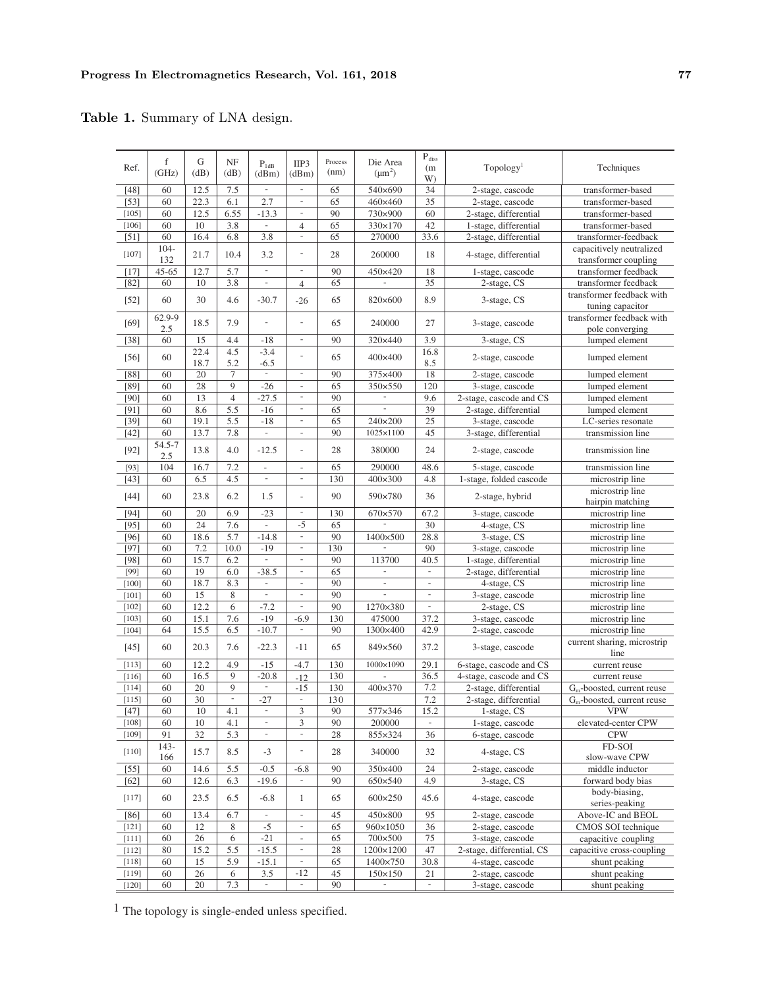**Table 1.** Summary of LNA design.

| Ref.    | $\mathbf f$<br>(GHz) | G<br>(dB)    | <b>NF</b><br>(dB)        | $P_{1dB}$<br>(dBm)       | IIP3<br>(dBm)            | Process<br>(nm) | Die Area<br>$(\mu m^2)$  | $P_{\text{diss}}$<br>(m)<br>W) | Topology <sup>1</sup>     | Techniques                                       |
|---------|----------------------|--------------|--------------------------|--------------------------|--------------------------|-----------------|--------------------------|--------------------------------|---------------------------|--------------------------------------------------|
| [48]    | 60                   | 12.5         | 7.5                      | $\overline{\phantom{0}}$ | $\overline{\phantom{a}}$ | 65              | 540×690                  | 34                             | 2-stage, cascode          | transformer-based                                |
| [53]    | 60                   | 22.3         | 6.1                      | 2.7                      | $\overline{\phantom{a}}$ | 65              | 460×460                  | 35                             | 2-stage, cascode          | transformer-based                                |
| [105]   | 60                   | 12.5         | 6.55                     | $-13.3$                  | $\Box$                   | 90              | 730×900                  | 60                             | 2-stage, differential     | transformer-based                                |
| [106]   | 60                   | 10           | 3.8                      | $\overline{\phantom{a}}$ | $\overline{4}$           | 65              | 330×170                  | 42                             | 1-stage, differential     | transformer-based                                |
| $[51]$  | 60                   | 16.4         | 6.8                      | 3.8                      | $\overline{\phantom{a}}$ | 65              | 270000                   | 33.6                           | 2-stage, differential     | transformer-feedback                             |
| [107]   | $104 -$<br>132       | 21.7         | 10.4                     | 3.2                      |                          | 28              | 260000                   | 18                             | 4-stage, differential     | capacitively neutralized<br>transformer coupling |
| $[17]$  | 45-65                | 12.7         | 5.7                      | $\overline{\phantom{a}}$ | $\overline{\phantom{a}}$ | 90              | 450×420                  | 18                             | 1-stage, cascode          | transformer feedback                             |
| [82]    | 60                   | 10           | 3.8                      |                          | $\overline{4}$           | 65              |                          | 35                             | 2-stage, CS               | transformer feedback                             |
| $[52]$  | 60                   | 30           | 4.6                      | $-30.7$                  | $-26$                    | 65              | 820×600                  | 8.9                            | 3-stage, CS               | transformer feedback with<br>tuning capacitor    |
| [69]    | 62.9-9<br>2.5        | 18.5         | 7.9                      |                          | Ξ                        | 65              | 240000                   | 27                             | 3-stage, cascode          | transformer feedback with<br>pole converging     |
| $[38]$  | 60                   | 15           | 4.4                      | $-18$                    | $\overline{\phantom{a}}$ | 90              | 320×440                  | 3.9                            | 3-stage, CS               | lumped element                                   |
| $[56]$  | 60                   | 22.4<br>18.7 | 4.5<br>5.2               | $-3.4$<br>$-6.5$         |                          | 65              | 400×400                  | 16.8<br>8.5                    | 2-stage, cascode          | lumped element                                   |
| [88]    | 60                   | 20           | 7                        |                          |                          | 90              | 375×400                  | 18                             | 2-stage, cascode          | lumped element                                   |
| [89]    | 60                   | 28           | $\mathbf{Q}$             | $-26$                    | $\overline{\phantom{a}}$ | 65              | 350×550                  | 120                            | 3-stage, cascode          | lumped element                                   |
| [90]    | 60                   | 13           | $\overline{4}$           | $-27.5$                  | $\overline{\phantom{a}}$ | 90              |                          | 9.6                            | 2-stage, cascode and CS   | lumped element                                   |
| [91]    | 60                   | 8.6          | 5.5                      | $-16$                    | $\overline{\phantom{a}}$ | 65              | $\overline{a}$           | 39                             | 2-stage, differential     | lumped element                                   |
| [39]    | 60                   | 19.1         | 5.5                      | $-18$                    | $\blacksquare$           | 65              | 240×200                  | 25                             | 3-stage, cascode          | LC-series resonate                               |
| $[42]$  | 60                   | 13.7         | 7.8                      |                          | $\overline{a}$           | 90              | 1025×1100                | 45                             | 3-stage, differential     | transmission line                                |
| $[92]$  | 54.5-7<br>2.5        | 13.8         | 4.0                      | $-12.5$                  | $\overline{a}$           | 28              | 380000                   | 24                             | 2-stage, cascode          | transmission line                                |
| [93]    | 104                  | 16.7         | 7.2                      | $\overline{\phantom{a}}$ | $\overline{\phantom{a}}$ | 65              | 290000                   | 48.6                           | 5-stage, cascode          | transmission line                                |
| [43]    | 60                   | 6.5          | 4.5                      | $\overline{a}$           | $\frac{1}{2}$            | 130             | 400×300                  | 4.8                            | 1-stage, folded cascode   | microstrip line                                  |
| $[44]$  | 60                   | 23.8         | 6.2                      | 1.5                      | $\overline{a}$           | 90              | 590×780                  | 36                             | 2-stage, hybrid           | microstrip line<br>hairpin matching              |
| [94]    | 60                   | 20           | 6.9                      | $-23$                    | $\overline{\phantom{a}}$ | 130             | 670×570                  | 67.2                           | 3-stage, cascode          | microstrip line                                  |
| [95]    | 60                   | 24           | 7.6                      | $\frac{1}{2}$            | $-5$                     | 65              |                          | 30                             | 4-stage, CS               | microstrip line                                  |
| [96]    | 60                   | 18.6         | 5.7                      | $-14.8$                  | $\bar{\phantom{a}}$      | 90              | 1400×500                 | 28.8                           | 3-stage, CS               | microstrip line                                  |
| [97]    | 60                   | 7.2          | 10.0                     | $-19$                    | $\blacksquare$           | 130             |                          | 90                             | 3-stage, cascode          | microstrip line                                  |
| [98]    | 60                   | 15.7         | 6.2                      |                          |                          | 90              | 113700                   | 40.5                           | 1-stage, differential     | microstrip line                                  |
| [99]    | 60                   | 19           | 6.0                      | $-38.5$                  | $\overline{\phantom{a}}$ | 65              |                          | $\overline{\phantom{a}}$       | 2-stage, differential     | microstrip line                                  |
| [100]   | 60                   | 18.7         | 8.3                      | $\overline{\phantom{a}}$ | $\overline{\phantom{a}}$ | 90              | $\frac{1}{2}$            | $\sim$                         | 4-stage, CS               | microstrip line                                  |
| [101]   | 60                   | 15           | 8                        | $\overline{\phantom{a}}$ | $\overline{\phantom{a}}$ | 90              |                          | $\blacksquare$                 | 3-stage, cascode          | microstrip line                                  |
| [102]   | 60                   | 12.2         | 6                        | $-7.2$                   | $\overline{\phantom{a}}$ | 90              | 1270×380                 | $\overline{\phantom{a}}$       | 2-stage, CS               | microstrip line                                  |
| [103]   | 60                   | 15.1         | 7.6                      | $-19$                    | $-6.9$                   | 130             | 475000                   | 37.2                           | 3-stage, cascode          | microstrip line                                  |
| [104]   | 64                   | 15.5         | 6.5                      | $-10.7$                  | $\overline{\phantom{a}}$ | 90              | 1300×400                 | 42.9                           | 2-stage, cascode          | microstrip line                                  |
| [45]    | 60                   | 20.3         | 7.6                      | $-22.3$                  | $-11$                    | 65              | 849×560                  | 37.2                           | 3-stage, cascode          | current sharing, microstrip<br>line              |
| [113]   | 60                   | 12.2         | 4.9                      | $-15$                    | $-4.7$                   | 130             | 1000×1090                | 29.1                           | 6-stage, cascode and CS   | current reuse                                    |
| [116]   | 60                   | 16.5         | 9                        | $-20.8$                  | $-12$                    | 130             |                          | 36.5                           | 4-stage, cascode and CS   | current reuse                                    |
| $[114]$ | 60                   | 20           | 9                        |                          | $-15$                    | 130             | 400×370                  | 7.2                            | 2-stage, differential     | $Gm$ -boosted, current reuse                     |
| [115]   | 60                   | 30           | $\overline{\phantom{a}}$ | $-27$                    | $\blacksquare$           | 130             |                          | 7.2                            | 2-stage, differential     | $Gm$ -boosted, current reuse                     |
| [47]    | 60                   | 10           | 4.1                      |                          | 3                        | 90              | 577×346                  | 15.2                           | 1-stage, CS               | VPW                                              |
| [108]   | 60                   | 10           | 4.1                      | $\overline{\phantom{a}}$ | 3                        | 90              | 200000                   |                                | 1-stage, cascode          | elevated-center CPW                              |
| $[109]$ | 91                   | 32           | 5.3                      |                          |                          | 28              | 855×324                  | 36                             | 6-stage, cascode          | <b>CPW</b>                                       |
| $[110]$ | $143 -$<br>166       | 15.7         | 8.5                      | $-3$                     |                          | 28              | 340000                   | 32                             | 4-stage, CS               | FD-SOI<br>slow-wave CPW                          |
| $[55]$  | 60                   | 14.6         | 5.5                      | $-0.5$                   | $-6.8$                   | 90              | 350×400                  | 24                             | 2-stage, cascode          | middle inductor                                  |
| [62]    | 60                   | 12.6         | 6.3                      | $-19.6$                  |                          | 90              | 650×540                  | 4.9                            | 3-stage, CS               | forward body bias                                |
| [117]   | 60                   | 23.5         | 6.5                      | $-6.8$                   | $\mathbf{1}$             | 65              | 600×250                  | 45.6                           | 4-stage, cascode          | body-biasing,<br>series-peaking                  |
| $[86]$  | 60                   | 13.4         | 6.7                      |                          | $\overline{\phantom{a}}$ | 45              | 450×800                  | 95                             | 2-stage, cascode          | Above-IC and BEOL                                |
| $[121]$ | 60                   | 12           | 8                        | $-5$                     | $\overline{\phantom{a}}$ | 65              | 960×1050                 | 36                             | 2-stage, cascode          | CMOS SOI technique                               |
| $[111]$ | 60                   | 26           | 6                        | $-21$                    | $\blacksquare$           | 65              | $700\times500$           | 75                             | 3-stage, cascode          | capacitive coupling                              |
| $[112]$ | 80                   | 15.2         | 5.5                      | $-15.5$                  | $\Box$                   | 28              | 1200×1200                | 47                             | 2-stage, differential, CS | capacitive cross-coupling                        |
| $[118]$ | 60                   | 15           | 5.9                      | $-15.1$                  | $\overline{\phantom{a}}$ | 65              | 1400×750                 | 30.8                           | 4-stage, cascode          | shunt peaking                                    |
| $[119]$ | 60                   | 26           | 6                        | 3.5                      | $-12$                    | 45              | 150×150                  | 21                             | 2-stage, cascode          | shunt peaking                                    |
| $[120]$ | 60                   | 20           | 7.3                      | $\blacksquare$           | $\Box$                   | 90              | $\overline{\phantom{a}}$ | $\overline{\phantom{a}}$       | 3-stage, cascode          | shunt peaking                                    |

1 The topology is single-ended unless specified.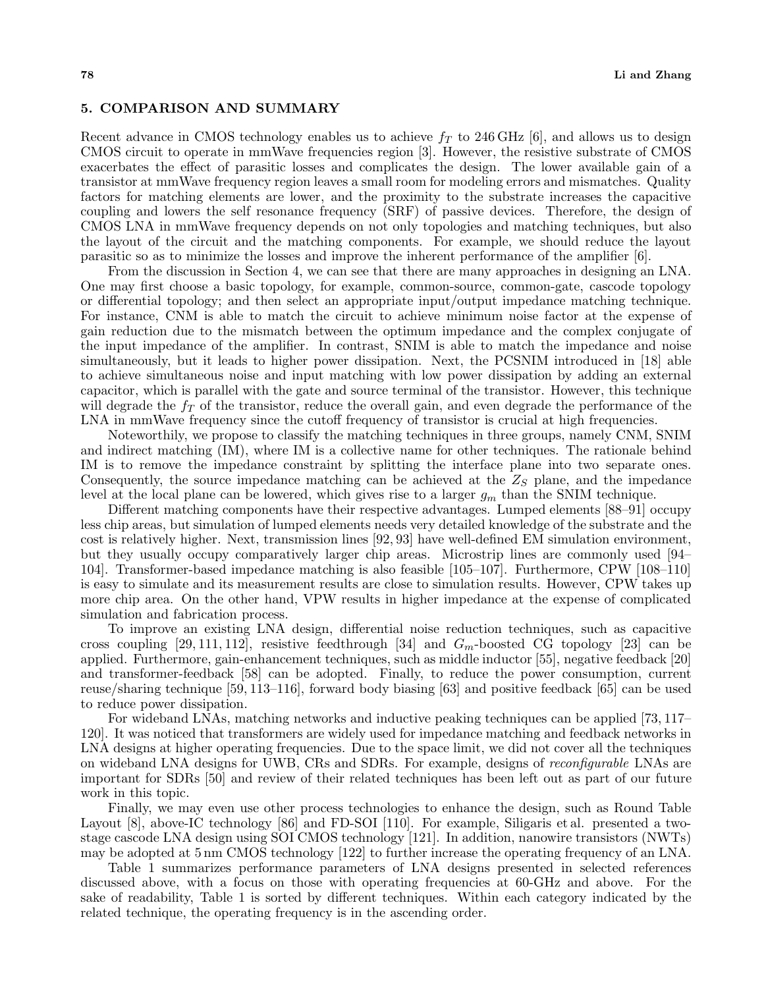# **5. COMPARISON AND SUMMARY**

Recent advance in CMOS technology enables us to achieve  $f_T$  to 246 GHz [6], and allows us to design CMOS circuit to operate in mmWave frequencies region [3]. However, the resistive substrate of CMOS exacerbates the effect of parasitic losses and complicates the design. The lower available gain of a transistor at mmWave frequency region leaves a small room for modeling errors and mismatches. Quality factors for matching elements are lower, and the proximity to the substrate increases the capacitive coupling and lowers the self resonance frequency (SRF) of passive devices. Therefore, the design of CMOS LNA in mmWave frequency depends on not only topologies and matching techniques, but also the layout of the circuit and the matching components. For example, we should reduce the layout parasitic so as to minimize the losses and improve the inherent performance of the amplifier [6].

From the discussion in Section 4, we can see that there are many approaches in designing an LNA. One may first choose a basic topology, for example, common-source, common-gate, cascode topology or differential topology; and then select an appropriate input/output impedance matching technique. For instance, CNM is able to match the circuit to achieve minimum noise factor at the expense of gain reduction due to the mismatch between the optimum impedance and the complex conjugate of the input impedance of the amplifier. In contrast, SNIM is able to match the impedance and noise simultaneously, but it leads to higher power dissipation. Next, the PCSNIM introduced in [18] able to achieve simultaneous noise and input matching with low power dissipation by adding an external capacitor, which is parallel with the gate and source terminal of the transistor. However, this technique will degrade the  $f<sub>T</sub>$  of the transistor, reduce the overall gain, and even degrade the performance of the LNA in mmWave frequency since the cutoff frequency of transistor is crucial at high frequencies.

Noteworthily, we propose to classify the matching techniques in three groups, namely CNM, SNIM and indirect matching (IM), where IM is a collective name for other techniques. The rationale behind IM is to remove the impedance constraint by splitting the interface plane into two separate ones. Consequently, the source impedance matching can be achieved at the Z*<sup>S</sup>* plane, and the impedance level at the local plane can be lowered, which gives rise to a larger g*<sup>m</sup>* than the SNIM technique.

Different matching components have their respective advantages. Lumped elements [88–91] occupy less chip areas, but simulation of lumped elements needs very detailed knowledge of the substrate and the cost is relatively higher. Next, transmission lines [92, 93] have well-defined EM simulation environment, but they usually occupy comparatively larger chip areas. Microstrip lines are commonly used [94– 104]. Transformer-based impedance matching is also feasible [105–107]. Furthermore, CPW [108–110] is easy to simulate and its measurement results are close to simulation results. However, CPW takes up more chip area. On the other hand, VPW results in higher impedance at the expense of complicated simulation and fabrication process.

To improve an existing LNA design, differential noise reduction techniques, such as capacitive cross coupling [29, 111, 112], resistive feedthrough [34] and G*m*-boosted CG topology [23] can be applied. Furthermore, gain-enhancement techniques, such as middle inductor [55], negative feedback [20] and transformer-feedback [58] can be adopted. Finally, to reduce the power consumption, current reuse/sharing technique [59, 113–116], forward body biasing [63] and positive feedback [65] can be used to reduce power dissipation.

For wideband LNAs, matching networks and inductive peaking techniques can be applied [73, 117– 120]. It was noticed that transformers are widely used for impedance matching and feedback networks in LNA designs at higher operating frequencies. Due to the space limit, we did not cover all the techniques on wideband LNA designs for UWB, CRs and SDRs. For example, designs of *reconfigurable* LNAs are important for SDRs [50] and review of their related techniques has been left out as part of our future work in this topic.

Finally, we may even use other process technologies to enhance the design, such as Round Table Layout [8], above-IC technology [86] and FD-SOI [110]. For example, Siligaris et al. presented a twostage cascode LNA design using SOI CMOS technology [121]. In addition, nanowire transistors (NWTs) may be adopted at 5 nm CMOS technology [122] to further increase the operating frequency of an LNA.

Table 1 summarizes performance parameters of LNA designs presented in selected references discussed above, with a focus on those with operating frequencies at 60-GHz and above. For the sake of readability, Table 1 is sorted by different techniques. Within each category indicated by the related technique, the operating frequency is in the ascending order.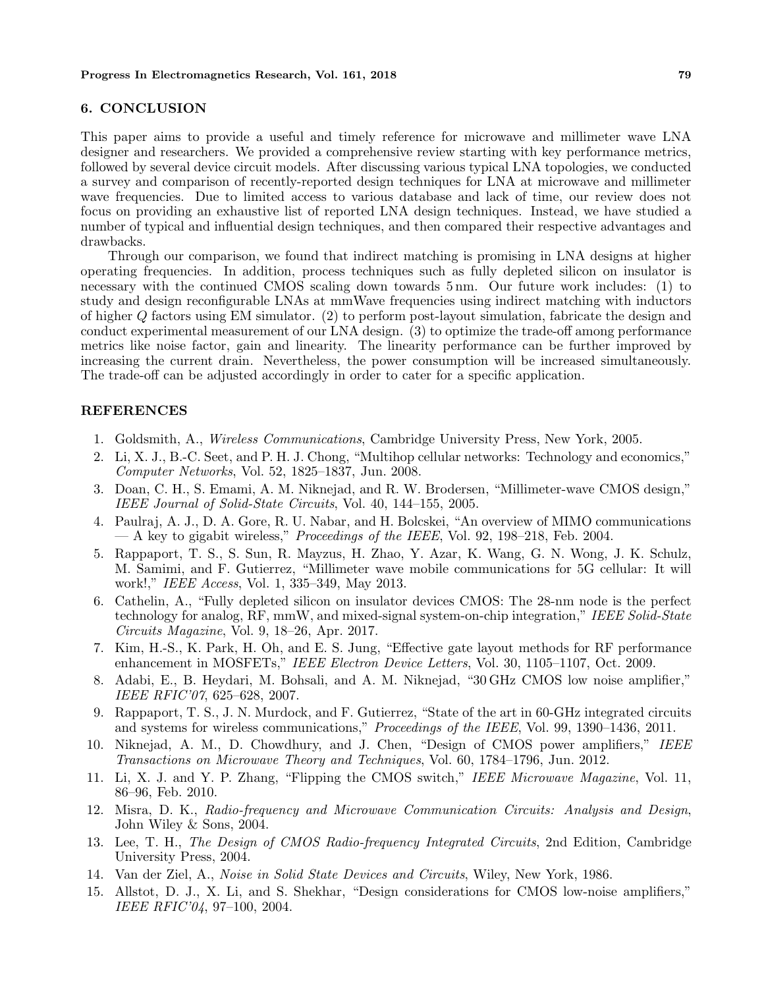# **6. CONCLUSION**

This paper aims to provide a useful and timely reference for microwave and millimeter wave LNA designer and researchers. We provided a comprehensive review starting with key performance metrics, followed by several device circuit models. After discussing various typical LNA topologies, we conducted a survey and comparison of recently-reported design techniques for LNA at microwave and millimeter wave frequencies. Due to limited access to various database and lack of time, our review does not focus on providing an exhaustive list of reported LNA design techniques. Instead, we have studied a number of typical and influential design techniques, and then compared their respective advantages and drawbacks.

Through our comparison, we found that indirect matching is promising in LNA designs at higher operating frequencies. In addition, process techniques such as fully depleted silicon on insulator is necessary with the continued CMOS scaling down towards 5 nm. Our future work includes: (1) to study and design reconfigurable LNAs at mmWave frequencies using indirect matching with inductors of higher Q factors using EM simulator. (2) to perform post-layout simulation, fabricate the design and conduct experimental measurement of our LNA design. (3) to optimize the trade-off among performance metrics like noise factor, gain and linearity. The linearity performance can be further improved by increasing the current drain. Nevertheless, the power consumption will be increased simultaneously. The trade-off can be adjusted accordingly in order to cater for a specific application.

# **REFERENCES**

- 1. Goldsmith, A., *Wireless Communications*, Cambridge University Press, New York, 2005.
- 2. Li, X. J., B.-C. Seet, and P. H. J. Chong, "Multihop cellular networks: Technology and economics," *Computer Networks*, Vol. 52, 1825–1837, Jun. 2008.
- 3. Doan, C. H., S. Emami, A. M. Niknejad, and R. W. Brodersen, "Millimeter-wave CMOS design," *IEEE Journal of Solid-State Circuits*, Vol. 40, 144–155, 2005.
- 4. Paulraj, A. J., D. A. Gore, R. U. Nabar, and H. Bolcskei, "An overview of MIMO communications — A key to gigabit wireless," *Proceedings of the IEEE*, Vol. 92, 198–218, Feb. 2004.
- 5. Rappaport, T. S., S. Sun, R. Mayzus, H. Zhao, Y. Azar, K. Wang, G. N. Wong, J. K. Schulz, M. Samimi, and F. Gutierrez, "Millimeter wave mobile communications for 5G cellular: It will work!," *IEEE Access*, Vol. 1, 335–349, May 2013.
- 6. Cathelin, A., "Fully depleted silicon on insulator devices CMOS: The 28-nm node is the perfect technology for analog, RF, mmW, and mixed-signal system-on-chip integration," *IEEE Solid-State Circuits Magazine*, Vol. 9, 18–26, Apr. 2017.
- 7. Kim, H.-S., K. Park, H. Oh, and E. S. Jung, "Effective gate layout methods for RF performance enhancement in MOSFETs," *IEEE Electron Device Letters*, Vol. 30, 1105–1107, Oct. 2009.
- 8. Adabi, E., B. Heydari, M. Bohsali, and A. M. Niknejad, "30 GHz CMOS low noise amplifier," *IEEE RFIC'07*, 625–628, 2007.
- 9. Rappaport, T. S., J. N. Murdock, and F. Gutierrez, "State of the art in 60-GHz integrated circuits and systems for wireless communications," *Proceedings of the IEEE*, Vol. 99, 1390–1436, 2011.
- 10. Niknejad, A. M., D. Chowdhury, and J. Chen, "Design of CMOS power amplifiers," *IEEE Transactions on Microwave Theory and Techniques*, Vol. 60, 1784–1796, Jun. 2012.
- 11. Li, X. J. and Y. P. Zhang, "Flipping the CMOS switch," *IEEE Microwave Magazine*, Vol. 11, 86–96, Feb. 2010.
- 12. Misra, D. K., *Radio-frequency and Microwave Communication Circuits: Analysis and Design*, John Wiley & Sons, 2004.
- 13. Lee, T. H., *The Design of CMOS Radio-frequency Integrated Circuits*, 2nd Edition, Cambridge University Press, 2004.
- 14. Van der Ziel, A., *Noise in Solid State Devices and Circuits*, Wiley, New York, 1986.
- 15. Allstot, D. J., X. Li, and S. Shekhar, "Design considerations for CMOS low-noise amplifiers," *IEEE RFIC'04*, 97–100, 2004.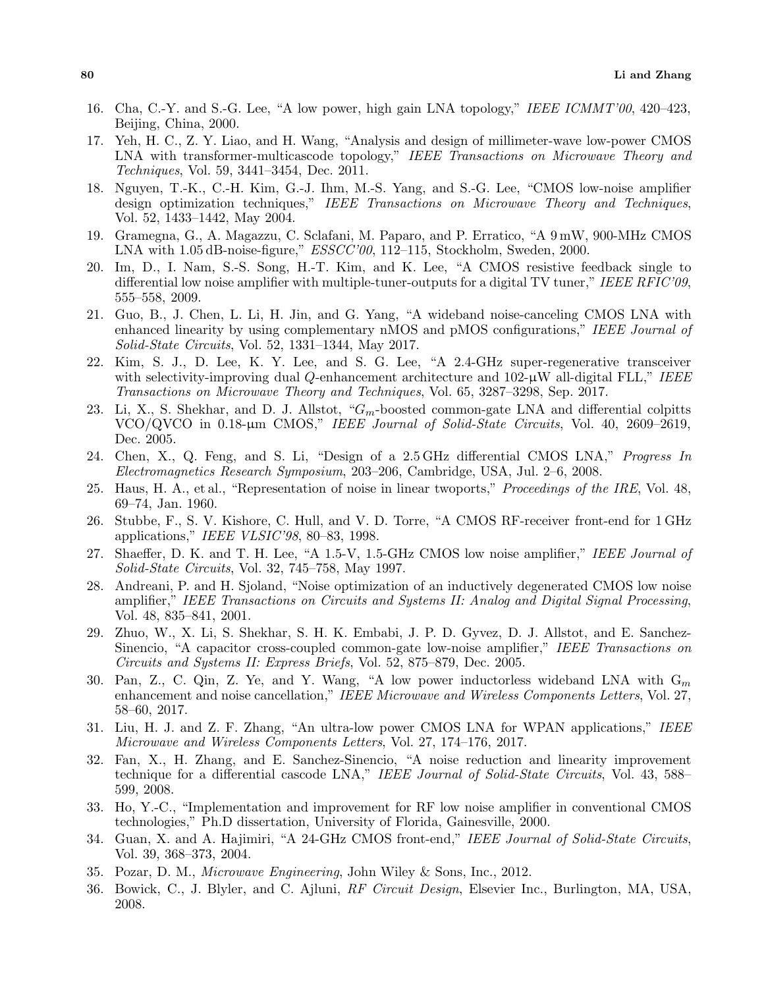- 16. Cha, C.-Y. and S.-G. Lee, "A low power, high gain LNA topology," *IEEE ICMMT'00*, 420–423, Beijing, China, 2000.
- 17. Yeh, H. C., Z. Y. Liao, and H. Wang, "Analysis and design of millimeter-wave low-power CMOS LNA with transformer-multicascode topology," *IEEE Transactions on Microwave Theory and Techniques*, Vol. 59, 3441–3454, Dec. 2011.
- 18. Nguyen, T.-K., C.-H. Kim, G.-J. Ihm, M.-S. Yang, and S.-G. Lee, "CMOS low-noise amplifier design optimization techniques," *IEEE Transactions on Microwave Theory and Techniques*, Vol. 52, 1433–1442, May 2004.
- 19. Gramegna, G., A. Magazzu, C. Sclafani, M. Paparo, and P. Erratico, "A 9 mW, 900-MHz CMOS LNA with 1.05 dB-noise-figure," *ESSCC'00*, 112–115, Stockholm, Sweden, 2000.
- 20. Im, D., I. Nam, S.-S. Song, H.-T. Kim, and K. Lee, "A CMOS resistive feedback single to differential low noise amplifier with multiple-tuner-outputs for a digital TV tuner," *IEEE RFIC'09*, 555–558, 2009.
- 21. Guo, B., J. Chen, L. Li, H. Jin, and G. Yang, "A wideband noise-canceling CMOS LNA with enhanced linearity by using complementary nMOS and pMOS configurations," *IEEE Journal of Solid-State Circuits*, Vol. 52, 1331–1344, May 2017.
- 22. Kim, S. J., D. Lee, K. Y. Lee, and S. G. Lee, "A 2.4-GHz super-regenerative transceiver with selectivity-improving dual Q-enhancement architecture and  $102-\mu W$  all-digital FLL," *IEEE Transactions on Microwave Theory and Techniques*, Vol. 65, 3287–3298, Sep. 2017.
- 23. Li, X., S. Shekhar, and D. J. Allstot, "G*m*-boosted common-gate LNA and differential colpitts VCO/QVCO in 0.18-µm CMOS," *IEEE Journal of Solid-State Circuits*, Vol. 40, 2609–2619, Dec. 2005.
- 24. Chen, X., Q. Feng, and S. Li, "Design of a 2.5 GHz differential CMOS LNA," *Progress In Electromagnetics Research Symposium*, 203–206, Cambridge, USA, Jul. 2–6, 2008.
- 25. Haus, H. A., et al., "Representation of noise in linear twoports," *Proceedings of the IRE*, Vol. 48, 69–74, Jan. 1960.
- 26. Stubbe, F., S. V. Kishore, C. Hull, and V. D. Torre, "A CMOS RF-receiver front-end for 1 GHz applications," *IEEE VLSIC'98*, 80–83, 1998.
- 27. Shaeffer, D. K. and T. H. Lee, "A 1.5-V, 1.5-GHz CMOS low noise amplifier," *IEEE Journal of Solid-State Circuits*, Vol. 32, 745–758, May 1997.
- 28. Andreani, P. and H. Sjoland, "Noise optimization of an inductively degenerated CMOS low noise amplifier," *IEEE Transactions on Circuits and Systems II: Analog and Digital Signal Processing*, Vol. 48, 835–841, 2001.
- 29. Zhuo, W., X. Li, S. Shekhar, S. H. K. Embabi, J. P. D. Gyvez, D. J. Allstot, and E. Sanchez-Sinencio, "A capacitor cross-coupled common-gate low-noise amplifier," *IEEE Transactions on Circuits and Systems II: Express Briefs*, Vol. 52, 875–879, Dec. 2005.
- 30. Pan, Z., C. Qin, Z. Ye, and Y. Wang, "A low power inductorless wideband LNA with G*<sup>m</sup>* enhancement and noise cancellation," *IEEE Microwave and Wireless Components Letters*, Vol. 27, 58–60, 2017.
- 31. Liu, H. J. and Z. F. Zhang, "An ultra-low power CMOS LNA for WPAN applications," *IEEE Microwave and Wireless Components Letters*, Vol. 27, 174–176, 2017.
- 32. Fan, X., H. Zhang, and E. Sanchez-Sinencio, "A noise reduction and linearity improvement technique for a differential cascode LNA," *IEEE Journal of Solid-State Circuits*, Vol. 43, 588– 599, 2008.
- 33. Ho, Y.-C., "Implementation and improvement for RF low noise amplifier in conventional CMOS technologies," Ph.D dissertation, University of Florida, Gainesville, 2000.
- 34. Guan, X. and A. Hajimiri, "A 24-GHz CMOS front-end," *IEEE Journal of Solid-State Circuits*, Vol. 39, 368–373, 2004.
- 35. Pozar, D. M., *Microwave Engineering*, John Wiley & Sons, Inc., 2012.
- 36. Bowick, C., J. Blyler, and C. Ajluni, *RF Circuit Design*, Elsevier Inc., Burlington, MA, USA, 2008.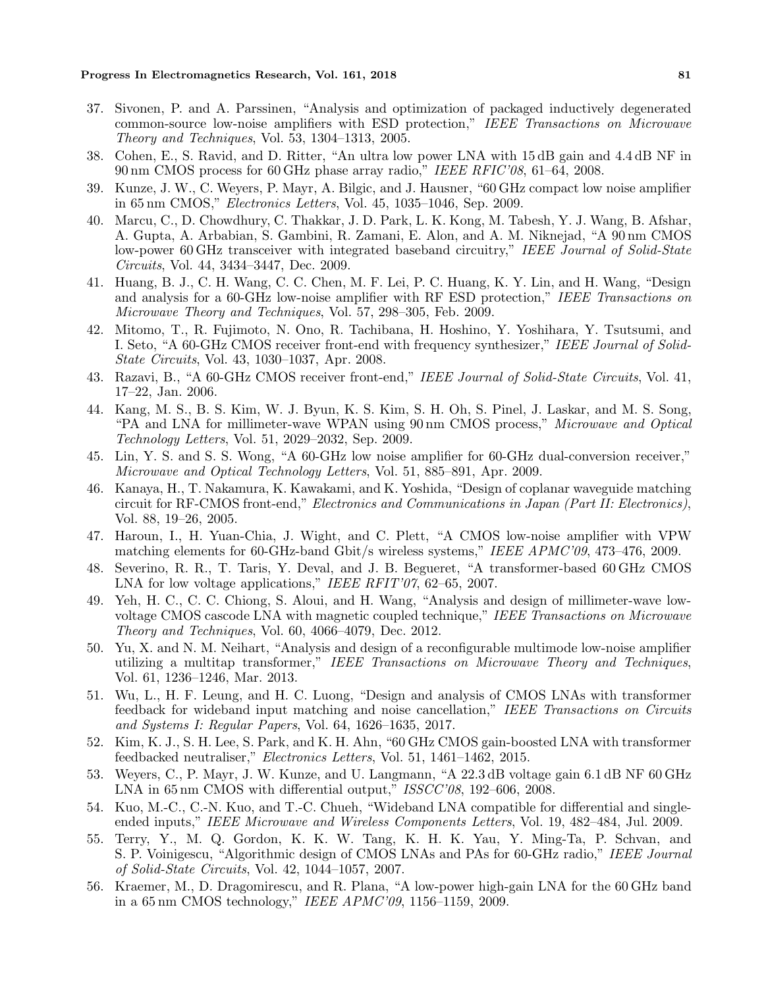- 37. Sivonen, P. and A. Parssinen, "Analysis and optimization of packaged inductively degenerated common-source low-noise amplifiers with ESD protection," *IEEE Transactions on Microwave Theory and Techniques*, Vol. 53, 1304–1313, 2005.
- 38. Cohen, E., S. Ravid, and D. Ritter, "An ultra low power LNA with 15 dB gain and 4.4 dB NF in 90 nm CMOS process for 60 GHz phase array radio," *IEEE RFIC'08*, 61–64, 2008.
- 39. Kunze, J. W., C. Weyers, P. Mayr, A. Bilgic, and J. Hausner, "60 GHz compact low noise amplifier in 65 nm CMOS," *Electronics Letters*, Vol. 45, 1035–1046, Sep. 2009.
- 40. Marcu, C., D. Chowdhury, C. Thakkar, J. D. Park, L. K. Kong, M. Tabesh, Y. J. Wang, B. Afshar, A. Gupta, A. Arbabian, S. Gambini, R. Zamani, E. Alon, and A. M. Niknejad, "A 90 nm CMOS low-power 60 GHz transceiver with integrated baseband circuitry," *IEEE Journal of Solid-State Circuits*, Vol. 44, 3434–3447, Dec. 2009.
- 41. Huang, B. J., C. H. Wang, C. C. Chen, M. F. Lei, P. C. Huang, K. Y. Lin, and H. Wang, "Design and analysis for a 60-GHz low-noise amplifier with RF ESD protection," *IEEE Transactions on Microwave Theory and Techniques*, Vol. 57, 298–305, Feb. 2009.
- 42. Mitomo, T., R. Fujimoto, N. Ono, R. Tachibana, H. Hoshino, Y. Yoshihara, Y. Tsutsumi, and I. Seto, "A 60-GHz CMOS receiver front-end with frequency synthesizer," *IEEE Journal of Solid-State Circuits*, Vol. 43, 1030–1037, Apr. 2008.
- 43. Razavi, B., "A 60-GHz CMOS receiver front-end," *IEEE Journal of Solid-State Circuits*, Vol. 41, 17–22, Jan. 2006.
- 44. Kang, M. S., B. S. Kim, W. J. Byun, K. S. Kim, S. H. Oh, S. Pinel, J. Laskar, and M. S. Song, "PA and LNA for millimeter-wave WPAN using 90 nm CMOS process," *Microwave and Optical Technology Letters*, Vol. 51, 2029–2032, Sep. 2009.
- 45. Lin, Y. S. and S. S. Wong, "A 60-GHz low noise amplifier for 60-GHz dual-conversion receiver," *Microwave and Optical Technology Letters*, Vol. 51, 885–891, Apr. 2009.
- 46. Kanaya, H., T. Nakamura, K. Kawakami, and K. Yoshida, "Design of coplanar waveguide matching circuit for RF-CMOS front-end," *Electronics and Communications in Japan (Part II: Electronics)*, Vol. 88, 19–26, 2005.
- 47. Haroun, I., H. Yuan-Chia, J. Wight, and C. Plett, "A CMOS low-noise amplifier with VPW matching elements for 60-GHz-band Gbit/s wireless systems," *IEEE APMC'09*, 473–476, 2009.
- 48. Severino, R. R., T. Taris, Y. Deval, and J. B. Begueret, "A transformer-based 60 GHz CMOS LNA for low voltage applications," *IEEE RFIT'07*, 62–65, 2007.
- 49. Yeh, H. C., C. C. Chiong, S. Aloui, and H. Wang, "Analysis and design of millimeter-wave lowvoltage CMOS cascode LNA with magnetic coupled technique," *IEEE Transactions on Microwave Theory and Techniques*, Vol. 60, 4066–4079, Dec. 2012.
- 50. Yu, X. and N. M. Neihart, "Analysis and design of a reconfigurable multimode low-noise amplifier utilizing a multitap transformer," *IEEE Transactions on Microwave Theory and Techniques*, Vol. 61, 1236–1246, Mar. 2013.
- 51. Wu, L., H. F. Leung, and H. C. Luong, "Design and analysis of CMOS LNAs with transformer feedback for wideband input matching and noise cancellation," *IEEE Transactions on Circuits and Systems I: Regular Papers*, Vol. 64, 1626–1635, 2017.
- 52. Kim, K. J., S. H. Lee, S. Park, and K. H. Ahn, "60 GHz CMOS gain-boosted LNA with transformer feedbacked neutraliser," *Electronics Letters*, Vol. 51, 1461–1462, 2015.
- 53. Weyers, C., P. Mayr, J. W. Kunze, and U. Langmann, "A 22.3 dB voltage gain 6.1 dB NF 60 GHz LNA in 65 nm CMOS with differential output," *ISSCC'08*, 192–606, 2008.
- 54. Kuo, M.-C., C.-N. Kuo, and T.-C. Chueh, "Wideband LNA compatible for differential and singleended inputs," *IEEE Microwave and Wireless Components Letters*, Vol. 19, 482–484, Jul. 2009.
- 55. Terry, Y., M. Q. Gordon, K. K. W. Tang, K. H. K. Yau, Y. Ming-Ta, P. Schvan, and S. P. Voinigescu, "Algorithmic design of CMOS LNAs and PAs for 60-GHz radio," *IEEE Journal of Solid-State Circuits*, Vol. 42, 1044–1057, 2007.
- 56. Kraemer, M., D. Dragomirescu, and R. Plana, "A low-power high-gain LNA for the 60 GHz band in a 65 nm CMOS technology," *IEEE APMC'09*, 1156–1159, 2009.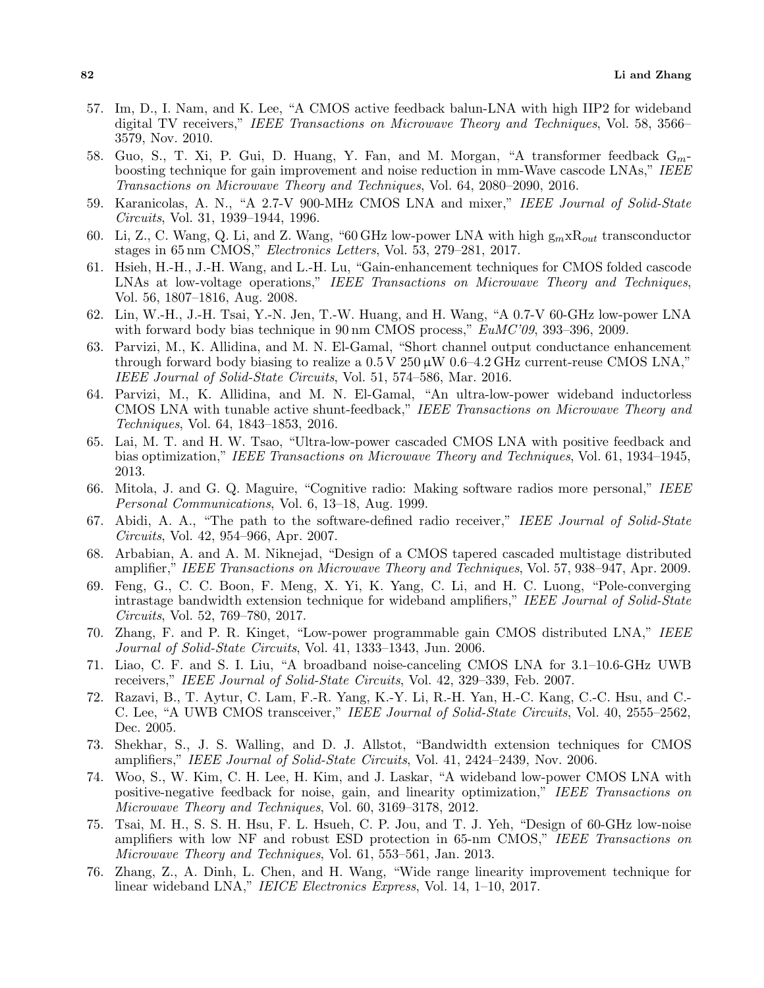- 57. Im, D., I. Nam, and K. Lee, "A CMOS active feedback balun-LNA with high IIP2 for wideband digital TV receivers," *IEEE Transactions on Microwave Theory and Techniques*, Vol. 58, 3566– 3579, Nov. 2010.
- 58. Guo, S., T. Xi, P. Gui, D. Huang, Y. Fan, and M. Morgan, "A transformer feedback G*m*boosting technique for gain improvement and noise reduction in mm-Wave cascode LNAs," *IEEE Transactions on Microwave Theory and Techniques*, Vol. 64, 2080–2090, 2016.
- 59. Karanicolas, A. N., "A 2.7-V 900-MHz CMOS LNA and mixer," *IEEE Journal of Solid-State Circuits*, Vol. 31, 1939–1944, 1996.
- 60. Li, Z., C. Wang, Q. Li, and Z. Wang, "60 GHz low-power LNA with high g*m*xR*out* transconductor stages in 65 nm CMOS," *Electronics Letters*, Vol. 53, 279–281, 2017.
- 61. Hsieh, H.-H., J.-H. Wang, and L.-H. Lu, "Gain-enhancement techniques for CMOS folded cascode LNAs at low-voltage operations," *IEEE Transactions on Microwave Theory and Techniques*, Vol. 56, 1807–1816, Aug. 2008.
- 62. Lin, W.-H., J.-H. Tsai, Y.-N. Jen, T.-W. Huang, and H. Wang, "A 0.7-V 60-GHz low-power LNA with forward body bias technique in 90 nm CMOS process," *EuMC'09*, 393–396, 2009.
- 63. Parvizi, M., K. Allidina, and M. N. El-Gamal, "Short channel output conductance enhancement through forward body biasing to realize a  $0.5 \text{ V}$  250  $\mu$ W 0.6–4.2 GHz current-reuse CMOS LNA," *IEEE Journal of Solid-State Circuits*, Vol. 51, 574–586, Mar. 2016.
- 64. Parvizi, M., K. Allidina, and M. N. El-Gamal, "An ultra-low-power wideband inductorless CMOS LNA with tunable active shunt-feedback," *IEEE Transactions on Microwave Theory and Techniques*, Vol. 64, 1843–1853, 2016.
- 65. Lai, M. T. and H. W. Tsao, "Ultra-low-power cascaded CMOS LNA with positive feedback and bias optimization," *IEEE Transactions on Microwave Theory and Techniques*, Vol. 61, 1934–1945, 2013.
- 66. Mitola, J. and G. Q. Maguire, "Cognitive radio: Making software radios more personal," *IEEE Personal Communications*, Vol. 6, 13–18, Aug. 1999.
- 67. Abidi, A. A., "The path to the software-defined radio receiver," *IEEE Journal of Solid-State Circuits*, Vol. 42, 954–966, Apr. 2007.
- 68. Arbabian, A. and A. M. Niknejad, "Design of a CMOS tapered cascaded multistage distributed amplifier," *IEEE Transactions on Microwave Theory and Techniques*, Vol. 57, 938–947, Apr. 2009.
- 69. Feng, G., C. C. Boon, F. Meng, X. Yi, K. Yang, C. Li, and H. C. Luong, "Pole-converging intrastage bandwidth extension technique for wideband amplifiers," *IEEE Journal of Solid-State Circuits*, Vol. 52, 769–780, 2017.
- 70. Zhang, F. and P. R. Kinget, "Low-power programmable gain CMOS distributed LNA," *IEEE Journal of Solid-State Circuits*, Vol. 41, 1333–1343, Jun. 2006.
- 71. Liao, C. F. and S. I. Liu, "A broadband noise-canceling CMOS LNA for 3.1–10.6-GHz UWB receivers," *IEEE Journal of Solid-State Circuits*, Vol. 42, 329–339, Feb. 2007.
- 72. Razavi, B., T. Aytur, C. Lam, F.-R. Yang, K.-Y. Li, R.-H. Yan, H.-C. Kang, C.-C. Hsu, and C.- C. Lee, "A UWB CMOS transceiver," *IEEE Journal of Solid-State Circuits*, Vol. 40, 2555–2562, Dec. 2005.
- 73. Shekhar, S., J. S. Walling, and D. J. Allstot, "Bandwidth extension techniques for CMOS amplifiers," *IEEE Journal of Solid-State Circuits*, Vol. 41, 2424–2439, Nov. 2006.
- 74. Woo, S., W. Kim, C. H. Lee, H. Kim, and J. Laskar, "A wideband low-power CMOS LNA with positive-negative feedback for noise, gain, and linearity optimization," *IEEE Transactions on Microwave Theory and Techniques*, Vol. 60, 3169–3178, 2012.
- 75. Tsai, M. H., S. S. H. Hsu, F. L. Hsueh, C. P. Jou, and T. J. Yeh, "Design of 60-GHz low-noise amplifiers with low NF and robust ESD protection in 65-nm CMOS," *IEEE Transactions on Microwave Theory and Techniques*, Vol. 61, 553–561, Jan. 2013.
- 76. Zhang, Z., A. Dinh, L. Chen, and H. Wang, "Wide range linearity improvement technique for linear wideband LNA," *IEICE Electronics Express*, Vol. 14, 1–10, 2017.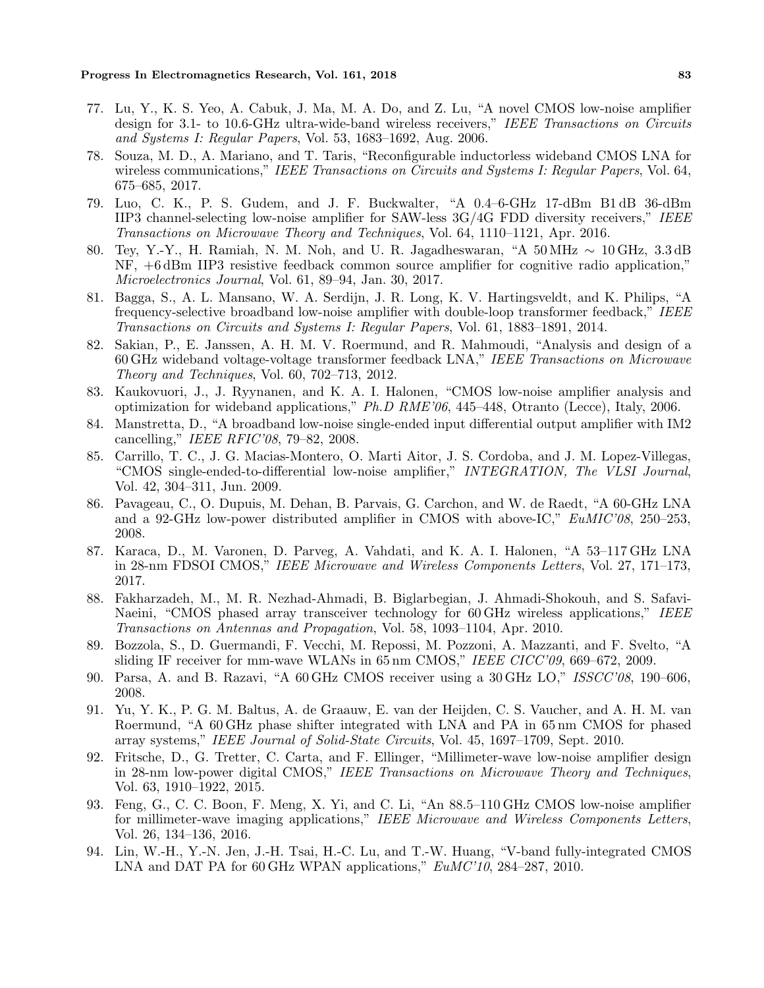- 77. Lu, Y., K. S. Yeo, A. Cabuk, J. Ma, M. A. Do, and Z. Lu, "A novel CMOS low-noise amplifier design for 3.1- to 10.6-GHz ultra-wide-band wireless receivers," *IEEE Transactions on Circuits and Systems I: Regular Papers*, Vol. 53, 1683–1692, Aug. 2006.
- 78. Souza, M. D., A. Mariano, and T. Taris, "Reconfigurable inductorless wideband CMOS LNA for wireless communications," *IEEE Transactions on Circuits and Systems I: Regular Papers*, Vol. 64, 675–685, 2017.
- 79. Luo, C. K., P. S. Gudem, and J. F. Buckwalter, "A 0.4–6-GHz 17-dBm B1 dB 36-dBm IIP3 channel-selecting low-noise amplifier for SAW-less 3G/4G FDD diversity receivers," *IEEE Transactions on Microwave Theory and Techniques*, Vol. 64, 1110–1121, Apr. 2016.
- 80. Tey, Y.-Y., H. Ramiah, N. M. Noh, and U. R. Jagadheswaran, "A 50 MHz ∼ 10 GHz, 3.3 dB NF, +6 dBm IIP3 resistive feedback common source amplifier for cognitive radio application," *Microelectronics Journal*, Vol. 61, 89–94, Jan. 30, 2017.
- 81. Bagga, S., A. L. Mansano, W. A. Serdijn, J. R. Long, K. V. Hartingsveldt, and K. Philips, "A frequency-selective broadband low-noise amplifier with double-loop transformer feedback," *IEEE Transactions on Circuits and Systems I: Regular Papers*, Vol. 61, 1883–1891, 2014.
- 82. Sakian, P., E. Janssen, A. H. M. V. Roermund, and R. Mahmoudi, "Analysis and design of a 60 GHz wideband voltage-voltage transformer feedback LNA," *IEEE Transactions on Microwave Theory and Techniques*, Vol. 60, 702–713, 2012.
- 83. Kaukovuori, J., J. Ryynanen, and K. A. I. Halonen, "CMOS low-noise amplifier analysis and optimization for wideband applications," *Ph.D RME'06*, 445–448, Otranto (Lecce), Italy, 2006.
- 84. Manstretta, D., "A broadband low-noise single-ended input differential output amplifier with IM2 cancelling," *IEEE RFIC'08*, 79–82, 2008.
- 85. Carrillo, T. C., J. G. Macias-Montero, O. Marti Aitor, J. S. Cordoba, and J. M. Lopez-Villegas, "CMOS single-ended-to-differential low-noise amplifier," *INTEGRATION, The VLSI Journal*, Vol. 42, 304–311, Jun. 2009.
- 86. Pavageau, C., O. Dupuis, M. Dehan, B. Parvais, G. Carchon, and W. de Raedt, "A 60-GHz LNA and a 92-GHz low-power distributed amplifier in CMOS with above-IC," *EuMIC'08*, 250–253, 2008.
- 87. Karaca, D., M. Varonen, D. Parveg, A. Vahdati, and K. A. I. Halonen, "A 53–117 GHz LNA in 28-nm FDSOI CMOS," *IEEE Microwave and Wireless Components Letters*, Vol. 27, 171–173, 2017.
- 88. Fakharzadeh, M., M. R. Nezhad-Ahmadi, B. Biglarbegian, J. Ahmadi-Shokouh, and S. Safavi-Naeini, "CMOS phased array transceiver technology for 60 GHz wireless applications," *IEEE Transactions on Antennas and Propagation*, Vol. 58, 1093–1104, Apr. 2010.
- 89. Bozzola, S., D. Guermandi, F. Vecchi, M. Repossi, M. Pozzoni, A. Mazzanti, and F. Svelto, "A sliding IF receiver for mm-wave WLANs in 65 nm CMOS," *IEEE CICC'09*, 669–672, 2009.
- 90. Parsa, A. and B. Razavi, "A 60 GHz CMOS receiver using a 30 GHz LO," *ISSCC'08*, 190–606, 2008.
- 91. Yu, Y. K., P. G. M. Baltus, A. de Graauw, E. van der Heijden, C. S. Vaucher, and A. H. M. van Roermund, "A 60 GHz phase shifter integrated with LNA and PA in 65 nm CMOS for phased array systems," *IEEE Journal of Solid-State Circuits*, Vol. 45, 1697–1709, Sept. 2010.
- 92. Fritsche, D., G. Tretter, C. Carta, and F. Ellinger, "Millimeter-wave low-noise amplifier design in 28-nm low-power digital CMOS," *IEEE Transactions on Microwave Theory and Techniques*, Vol. 63, 1910–1922, 2015.
- 93. Feng, G., C. C. Boon, F. Meng, X. Yi, and C. Li, "An 88.5–110 GHz CMOS low-noise amplifier for millimeter-wave imaging applications," *IEEE Microwave and Wireless Components Letters*, Vol. 26, 134–136, 2016.
- 94. Lin, W.-H., Y.-N. Jen, J.-H. Tsai, H.-C. Lu, and T.-W. Huang, "V-band fully-integrated CMOS LNA and DAT PA for 60 GHz WPAN applications," *EuMC'10*, 284–287, 2010.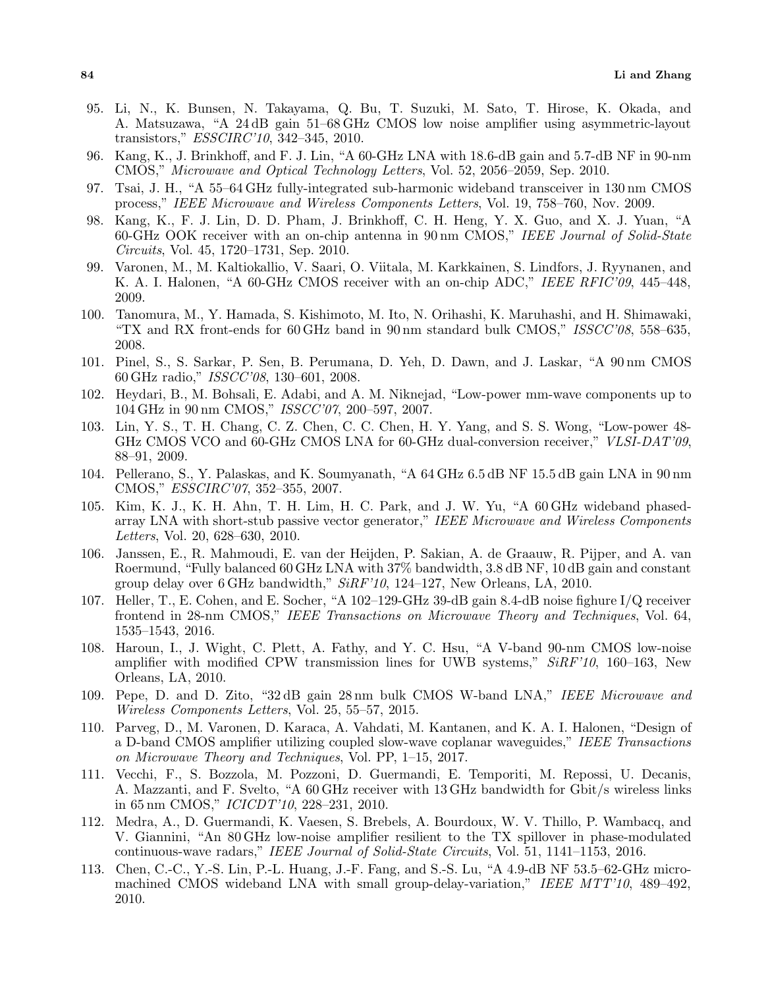- 95. Li, N., K. Bunsen, N. Takayama, Q. Bu, T. Suzuki, M. Sato, T. Hirose, K. Okada, and A. Matsuzawa, "A 24 dB gain 51–68 GHz CMOS low noise amplifier using asymmetric-layout transistors," *ESSCIRC'10*, 342–345, 2010.
- 96. Kang, K., J. Brinkhoff, and F. J. Lin, "A 60-GHz LNA with 18.6-dB gain and 5.7-dB NF in 90-nm CMOS," *Microwave and Optical Technology Letters*, Vol. 52, 2056–2059, Sep. 2010.
- 97. Tsai, J. H., "A 55–64 GHz fully-integrated sub-harmonic wideband transceiver in 130 nm CMOS process," *IEEE Microwave and Wireless Components Letters*, Vol. 19, 758–760, Nov. 2009.
- 98. Kang, K., F. J. Lin, D. D. Pham, J. Brinkhoff, C. H. Heng, Y. X. Guo, and X. J. Yuan, "A 60-GHz OOK receiver with an on-chip antenna in 90 nm CMOS," *IEEE Journal of Solid-State Circuits*, Vol. 45, 1720–1731, Sep. 2010.
- 99. Varonen, M., M. Kaltiokallio, V. Saari, O. Viitala, M. Karkkainen, S. Lindfors, J. Ryynanen, and K. A. I. Halonen, "A 60-GHz CMOS receiver with an on-chip ADC," *IEEE RFIC'09*, 445–448, 2009.
- 100. Tanomura, M., Y. Hamada, S. Kishimoto, M. Ito, N. Orihashi, K. Maruhashi, and H. Shimawaki, "TX and RX front-ends for 60 GHz band in 90 nm standard bulk CMOS," *ISSCC'08*, 558–635, 2008.
- 101. Pinel, S., S. Sarkar, P. Sen, B. Perumana, D. Yeh, D. Dawn, and J. Laskar, "A 90 nm CMOS 60 GHz radio," *ISSCC'08*, 130–601, 2008.
- 102. Heydari, B., M. Bohsali, E. Adabi, and A. M. Niknejad, "Low-power mm-wave components up to 104 GHz in 90 nm CMOS," *ISSCC'07*, 200–597, 2007.
- 103. Lin, Y. S., T. H. Chang, C. Z. Chen, C. C. Chen, H. Y. Yang, and S. S. Wong, "Low-power 48- GHz CMOS VCO and 60-GHz CMOS LNA for 60-GHz dual-conversion receiver," *VLSI-DAT'09*, 88–91, 2009.
- 104. Pellerano, S., Y. Palaskas, and K. Soumyanath, "A 64 GHz 6.5 dB NF 15.5 dB gain LNA in 90 nm CMOS," *ESSCIRC'07*, 352–355, 2007.
- 105. Kim, K. J., K. H. Ahn, T. H. Lim, H. C. Park, and J. W. Yu, "A 60 GHz wideband phasedarray LNA with short-stub passive vector generator," *IEEE Microwave and Wireless Components Letters*, Vol. 20, 628–630, 2010.
- 106. Janssen, E., R. Mahmoudi, E. van der Heijden, P. Sakian, A. de Graauw, R. Pijper, and A. van Roermund, "Fully balanced 60 GHz LNA with 37% bandwidth, 3.8 dB NF, 10 dB gain and constant group delay over 6 GHz bandwidth," *SiRF'10*, 124–127, New Orleans, LA, 2010.
- 107. Heller, T., E. Cohen, and E. Socher, "A 102–129-GHz 39-dB gain 8.4-dB noise fighure I/Q receiver frontend in 28-nm CMOS," *IEEE Transactions on Microwave Theory and Techniques*, Vol. 64, 1535–1543, 2016.
- 108. Haroun, I., J. Wight, C. Plett, A. Fathy, and Y. C. Hsu, "A V-band 90-nm CMOS low-noise amplifier with modified CPW transmission lines for UWB systems," *SiRF'10*, 160–163, New Orleans, LA, 2010.
- 109. Pepe, D. and D. Zito, "32 dB gain 28 nm bulk CMOS W-band LNA," *IEEE Microwave and Wireless Components Letters*, Vol. 25, 55–57, 2015.
- 110. Parveg, D., M. Varonen, D. Karaca, A. Vahdati, M. Kantanen, and K. A. I. Halonen, "Design of a D-band CMOS amplifier utilizing coupled slow-wave coplanar waveguides," *IEEE Transactions on Microwave Theory and Techniques*, Vol. PP, 1–15, 2017.
- 111. Vecchi, F., S. Bozzola, M. Pozzoni, D. Guermandi, E. Temporiti, M. Repossi, U. Decanis, A. Mazzanti, and F. Svelto, "A 60 GHz receiver with 13 GHz bandwidth for Gbit/s wireless links in 65 nm CMOS," *ICICDT'10*, 228–231, 2010.
- 112. Medra, A., D. Guermandi, K. Vaesen, S. Brebels, A. Bourdoux, W. V. Thillo, P. Wambacq, and V. Giannini, "An 80 GHz low-noise amplifier resilient to the TX spillover in phase-modulated continuous-wave radars," *IEEE Journal of Solid-State Circuits*, Vol. 51, 1141–1153, 2016.
- 113. Chen, C.-C., Y.-S. Lin, P.-L. Huang, J.-F. Fang, and S.-S. Lu, "A 4.9-dB NF 53.5–62-GHz micromachined CMOS wideband LNA with small group-delay-variation," *IEEE MTT'10*, 489–492, 2010.